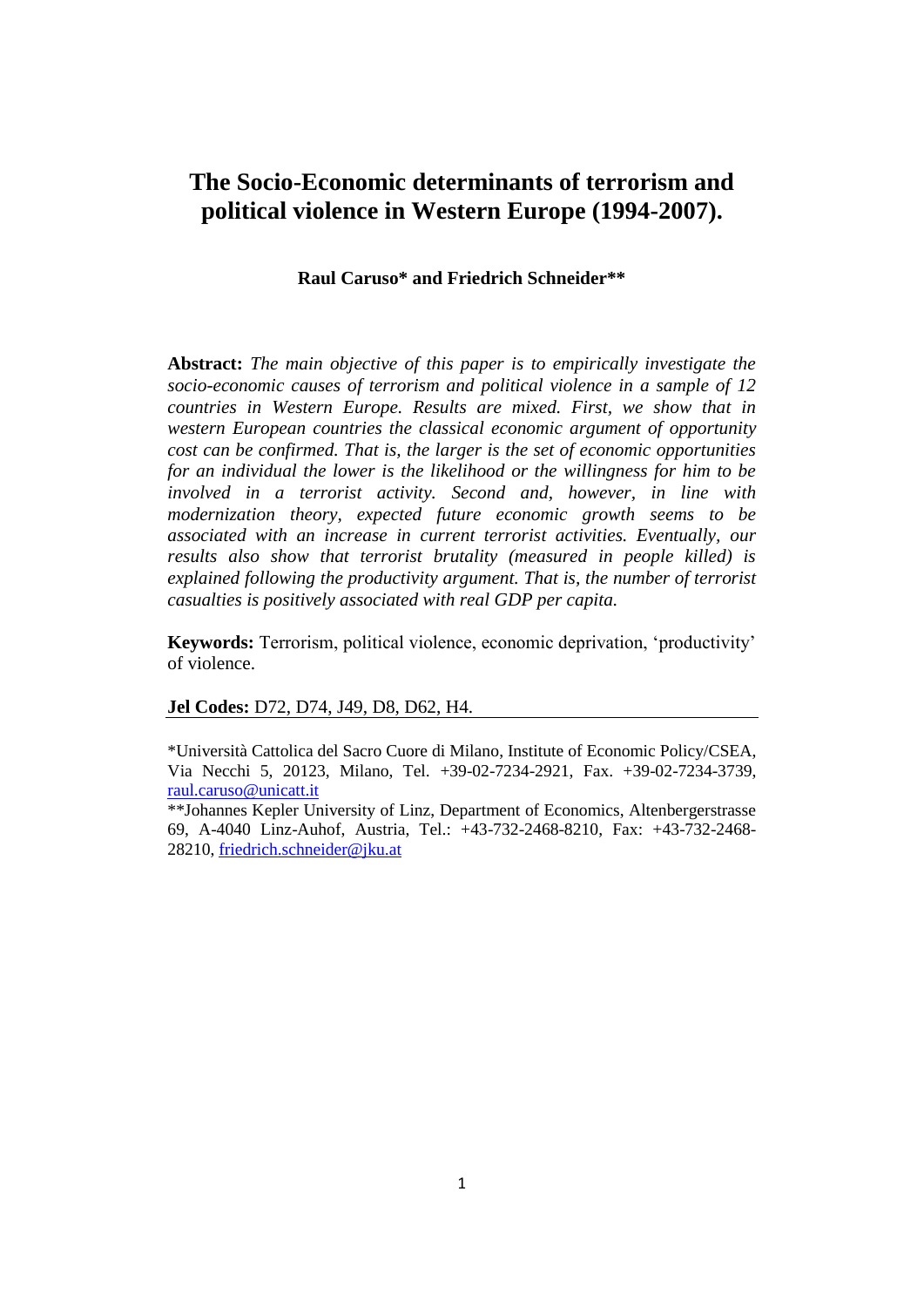# **The Socio-Economic determinants of terrorism and political violence in Western Europe (1994-2007).**

**Raul Caruso\* and Friedrich Schneider\*\***

**Abstract:** *The main objective of this paper is to empirically investigate the socio-economic causes of terrorism and political violence in a sample of 12 countries in Western Europe. Results are mixed. First, we show that in western European countries the classical economic argument of opportunity cost can be confirmed. That is, the larger is the set of economic opportunities for an individual the lower is the likelihood or the willingness for him to be involved in a terrorist activity. Second and, however, in line with modernization theory, expected future economic growth seems to be associated with an increase in current terrorist activities. Eventually, our results also show that terrorist brutality (measured in people killed) is explained following the productivity argument. That is, the number of terrorist casualties is positively associated with real GDP per capita.* 

**Keywords:** Terrorism, political violence, economic deprivation, "productivity" of violence.

**Jel Codes:** D72, D74, J49, D8, D62, H4.

\*Università Cattolica del Sacro Cuore di Milano, Institute of Economic Policy/CSEA, Via Necchi 5, 20123, Milano, Tel. +39-02-7234-2921, Fax. +39-02-7234-3739, [raul.caruso@unicatt.it](mailto:raul.caruso@unicatt.it)

\*\*Johannes Kepler University of Linz, Department of Economics, Altenbergerstrasse 69, A-4040 Linz-Auhof, Austria, Tel.: +43-732-2468-8210, Fax: +43-732-2468- 28210, [friedrich.schneider@jku.at](mailto:friedrich.schneider@jku.at)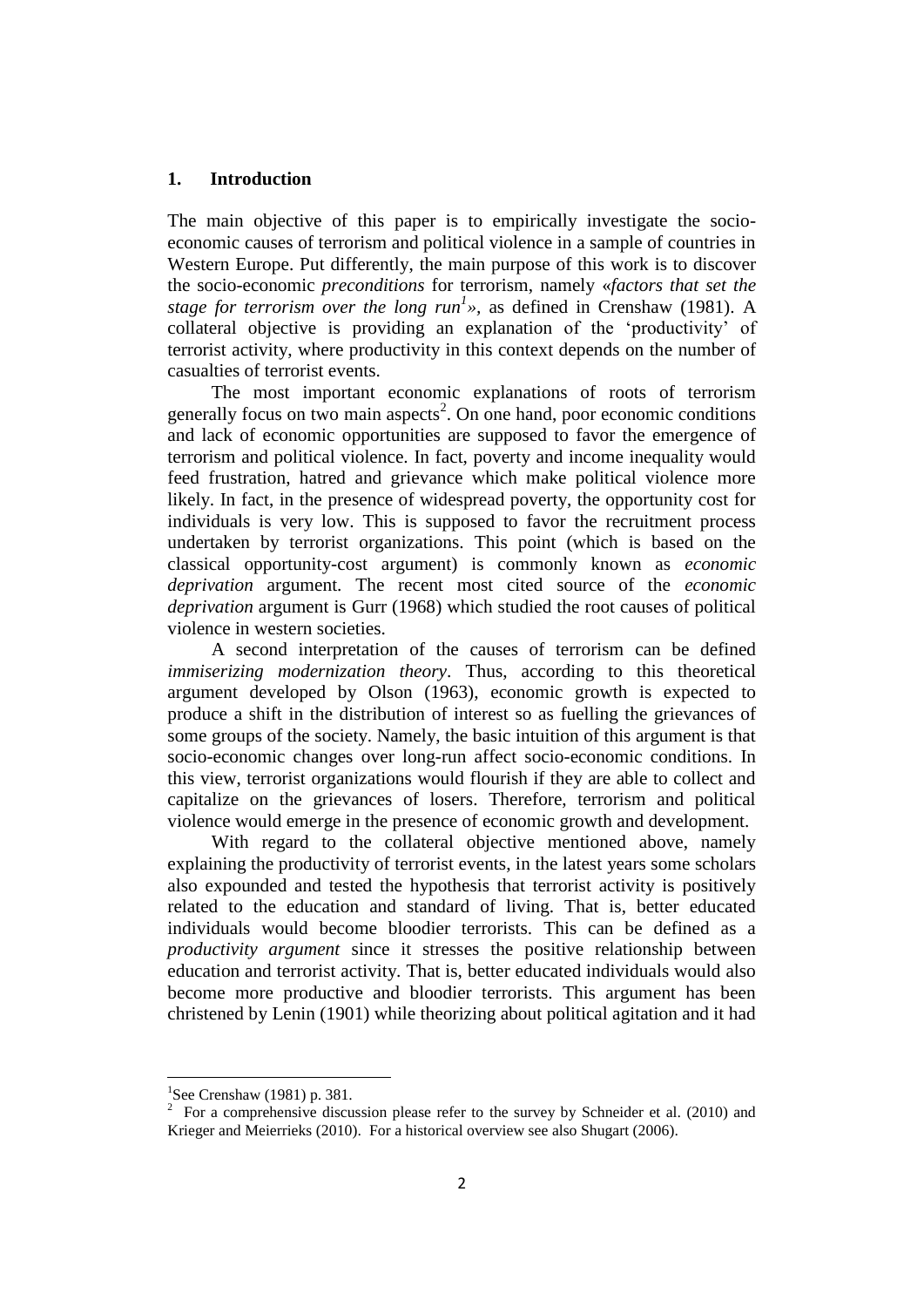## **1. Introduction**

The main objective of this paper is to empirically investigate the socioeconomic causes of terrorism and political violence in a sample of countries in Western Europe. Put differently, the main purpose of this work is to discover the socio-economic *preconditions* for terrorism, namely «*factors that set the stage for terrorism over the long run<sup>1</sup>*», as defined in Crenshaw (1981). A collateral objective is providing an explanation of the "productivity" of terrorist activity, where productivity in this context depends on the number of casualties of terrorist events.

The most important economic explanations of roots of terrorism generally focus on two main aspects<sup>2</sup>. On one hand, poor economic conditions and lack of economic opportunities are supposed to favor the emergence of terrorism and political violence. In fact, poverty and income inequality would feed frustration, hatred and grievance which make political violence more likely. In fact, in the presence of widespread poverty, the opportunity cost for individuals is very low. This is supposed to favor the recruitment process undertaken by terrorist organizations. This point (which is based on the classical opportunity-cost argument) is commonly known as *economic deprivation* argument. The recent most cited source of the *economic deprivation* argument is Gurr (1968) which studied the root causes of political violence in western societies.

A second interpretation of the causes of terrorism can be defined *immiserizing modernization theory*. Thus, according to this theoretical argument developed by Olson (1963), economic growth is expected to produce a shift in the distribution of interest so as fuelling the grievances of some groups of the society. Namely, the basic intuition of this argument is that socio-economic changes over long-run affect socio-economic conditions. In this view, terrorist organizations would flourish if they are able to collect and capitalize on the grievances of losers. Therefore, terrorism and political violence would emerge in the presence of economic growth and development.

With regard to the collateral objective mentioned above, namely explaining the productivity of terrorist events, in the latest years some scholars also expounded and tested the hypothesis that terrorist activity is positively related to the education and standard of living. That is, better educated individuals would become bloodier terrorists. This can be defined as a *productivity argument* since it stresses the positive relationship between education and terrorist activity. That is, better educated individuals would also become more productive and bloodier terrorists. This argument has been christened by Lenin (1901) while theorizing about political agitation and it had

1

<sup>1</sup> See Crenshaw (1981) p. 381.

<sup>&</sup>lt;sup>2</sup> For a comprehensive discussion please refer to the survey by Schneider et al. (2010) and Krieger and Meierrieks (2010). For a historical overview see also Shugart (2006).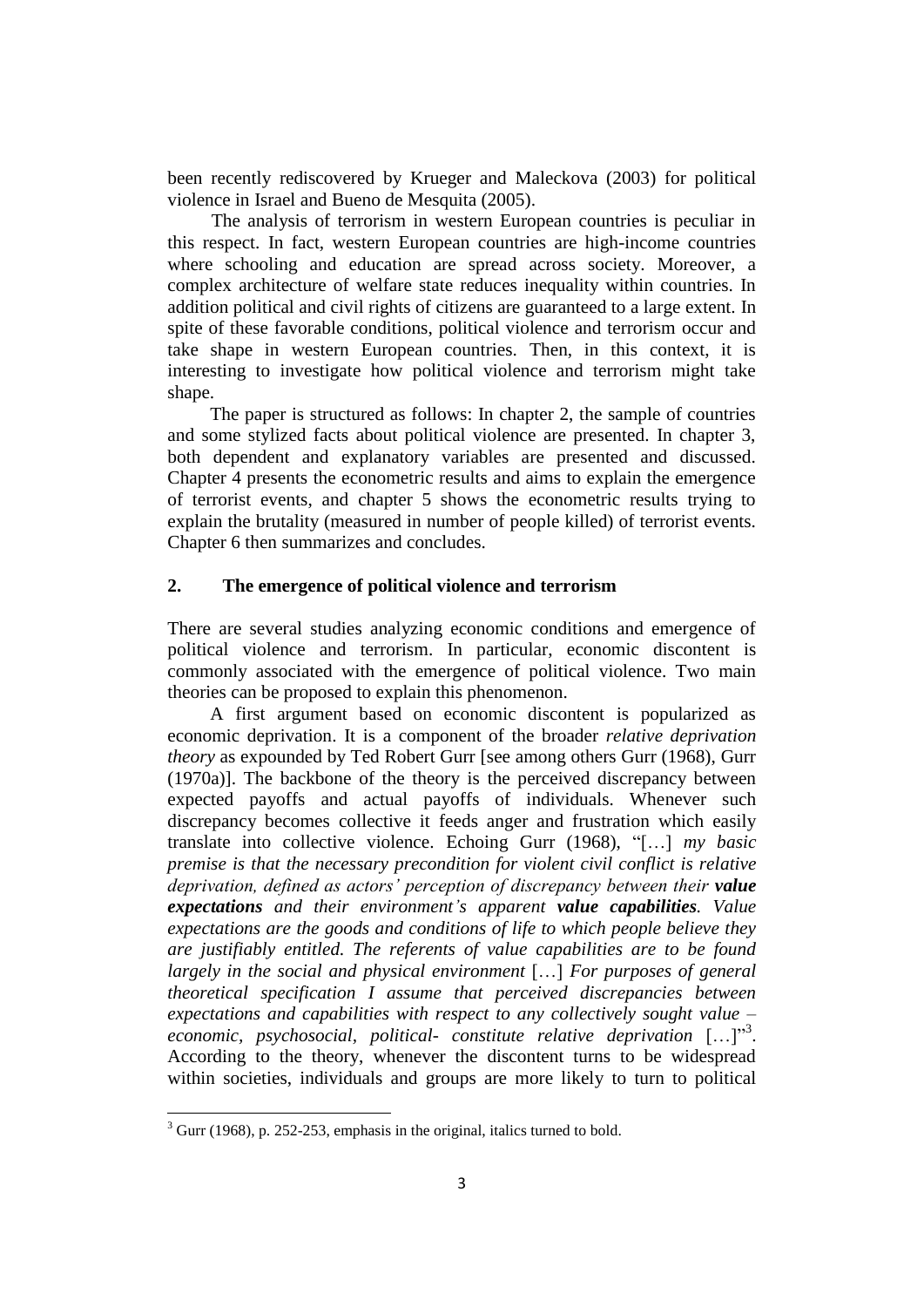been recently rediscovered by Krueger and Maleckova (2003) for political violence in Israel and Bueno de Mesquita (2005).

The analysis of terrorism in western European countries is peculiar in this respect. In fact, western European countries are high-income countries where schooling and education are spread across society. Moreover, a complex architecture of welfare state reduces inequality within countries. In addition political and civil rights of citizens are guaranteed to a large extent. In spite of these favorable conditions, political violence and terrorism occur and take shape in western European countries. Then, in this context, it is interesting to investigate how political violence and terrorism might take shape.

The paper is structured as follows: In chapter 2, the sample of countries and some stylized facts about political violence are presented. In chapter 3, both dependent and explanatory variables are presented and discussed. Chapter 4 presents the econometric results and aims to explain the emergence of terrorist events, and chapter 5 shows the econometric results trying to explain the brutality (measured in number of people killed) of terrorist events. Chapter 6 then summarizes and concludes.

## **2. The emergence of political violence and terrorism**

There are several studies analyzing economic conditions and emergence of political violence and terrorism. In particular, economic discontent is commonly associated with the emergence of political violence. Two main theories can be proposed to explain this phenomenon.

A first argument based on economic discontent is popularized as economic deprivation. It is a component of the broader *relative deprivation theory* as expounded by Ted Robert Gurr [see among others Gurr (1968), Gurr (1970a)]. The backbone of the theory is the perceived discrepancy between expected payoffs and actual payoffs of individuals. Whenever such discrepancy becomes collective it feeds anger and frustration which easily translate into collective violence. Echoing Gurr (1968), "[…] *my basic premise is that the necessary precondition for violent civil conflict is relative deprivation, defined as actors' perception of discrepancy between their value expectations and their environment's apparent value capabilities. Value expectations are the goods and conditions of life to which people believe they are justifiably entitled. The referents of value capabilities are to be found largely in the social and physical environment* […] *For purposes of general theoretical specification I assume that perceived discrepancies between expectations and capabilities with respect to any collectively sought value – economic, psychosocial, political- constitute relative deprivation* […]" 3 . According to the theory, whenever the discontent turns to be widespread within societies, individuals and groups are more likely to turn to political

**.** 

<sup>&</sup>lt;sup>3</sup> Gurr (1968), p. 252-253, emphasis in the original, italics turned to bold.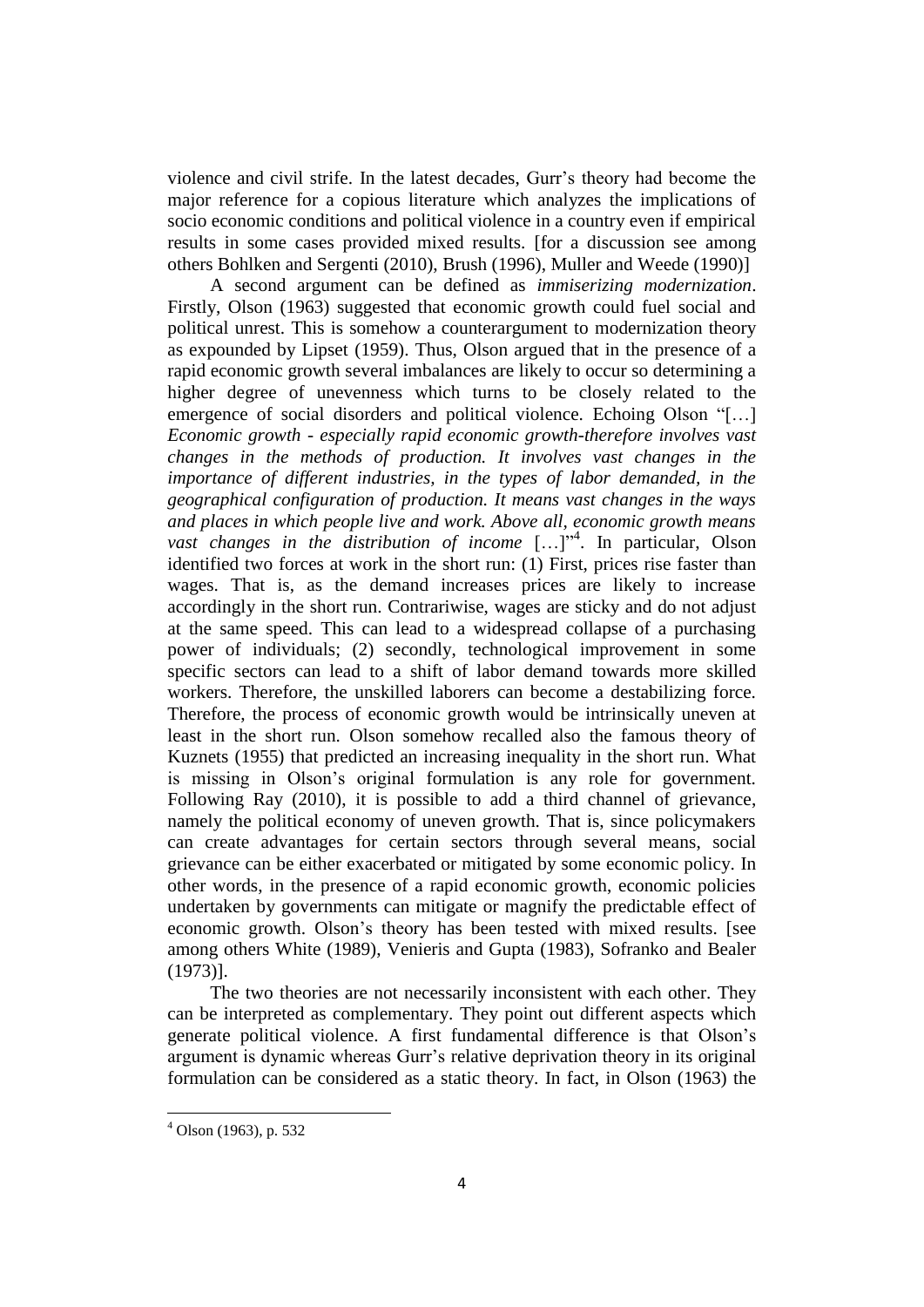violence and civil strife. In the latest decades, Gurr"s theory had become the major reference for a copious literature which analyzes the implications of socio economic conditions and political violence in a country even if empirical results in some cases provided mixed results. [for a discussion see among others Bohlken and Sergenti (2010), Brush (1996), Muller and Weede (1990)]

A second argument can be defined as *immiserizing modernization*. Firstly, Olson (1963) suggested that economic growth could fuel social and political unrest. This is somehow a counterargument to modernization theory as expounded by Lipset (1959). Thus, Olson argued that in the presence of a rapid economic growth several imbalances are likely to occur so determining a higher degree of unevenness which turns to be closely related to the emergence of social disorders and political violence. Echoing Olson "[…] *Economic growth - especially rapid economic growth-therefore involves vast changes in the methods of production. It involves vast changes in the importance of different industries, in the types of labor demanded, in the geographical configuration of production. It means vast changes in the ways and places in which people live and work. Above all, economic growth means*  vast changes in the distribution of income [...]<sup>24</sup>. In particular, Olson identified two forces at work in the short run: (1) First, prices rise faster than wages. That is, as the demand increases prices are likely to increase accordingly in the short run. Contrariwise, wages are sticky and do not adjust at the same speed. This can lead to a widespread collapse of a purchasing power of individuals; (2) secondly, technological improvement in some specific sectors can lead to a shift of labor demand towards more skilled workers. Therefore, the unskilled laborers can become a destabilizing force. Therefore, the process of economic growth would be intrinsically uneven at least in the short run. Olson somehow recalled also the famous theory of Kuznets (1955) that predicted an increasing inequality in the short run. What is missing in Olson"s original formulation is any role for government. Following Ray (2010), it is possible to add a third channel of grievance, namely the political economy of uneven growth. That is, since policymakers can create advantages for certain sectors through several means, social grievance can be either exacerbated or mitigated by some economic policy. In other words, in the presence of a rapid economic growth, economic policies undertaken by governments can mitigate or magnify the predictable effect of economic growth. Olson"s theory has been tested with mixed results. [see among others White (1989), Venieris and Gupta (1983), Sofranko and Bealer (1973)].

The two theories are not necessarily inconsistent with each other. They can be interpreted as complementary. They point out different aspects which generate political violence. A first fundamental difference is that Olson"s argument is dynamic whereas Gurr"s relative deprivation theory in its original formulation can be considered as a static theory. In fact, in Olson (1963) the

**.** 

 $4$  Olson (1963), p. 532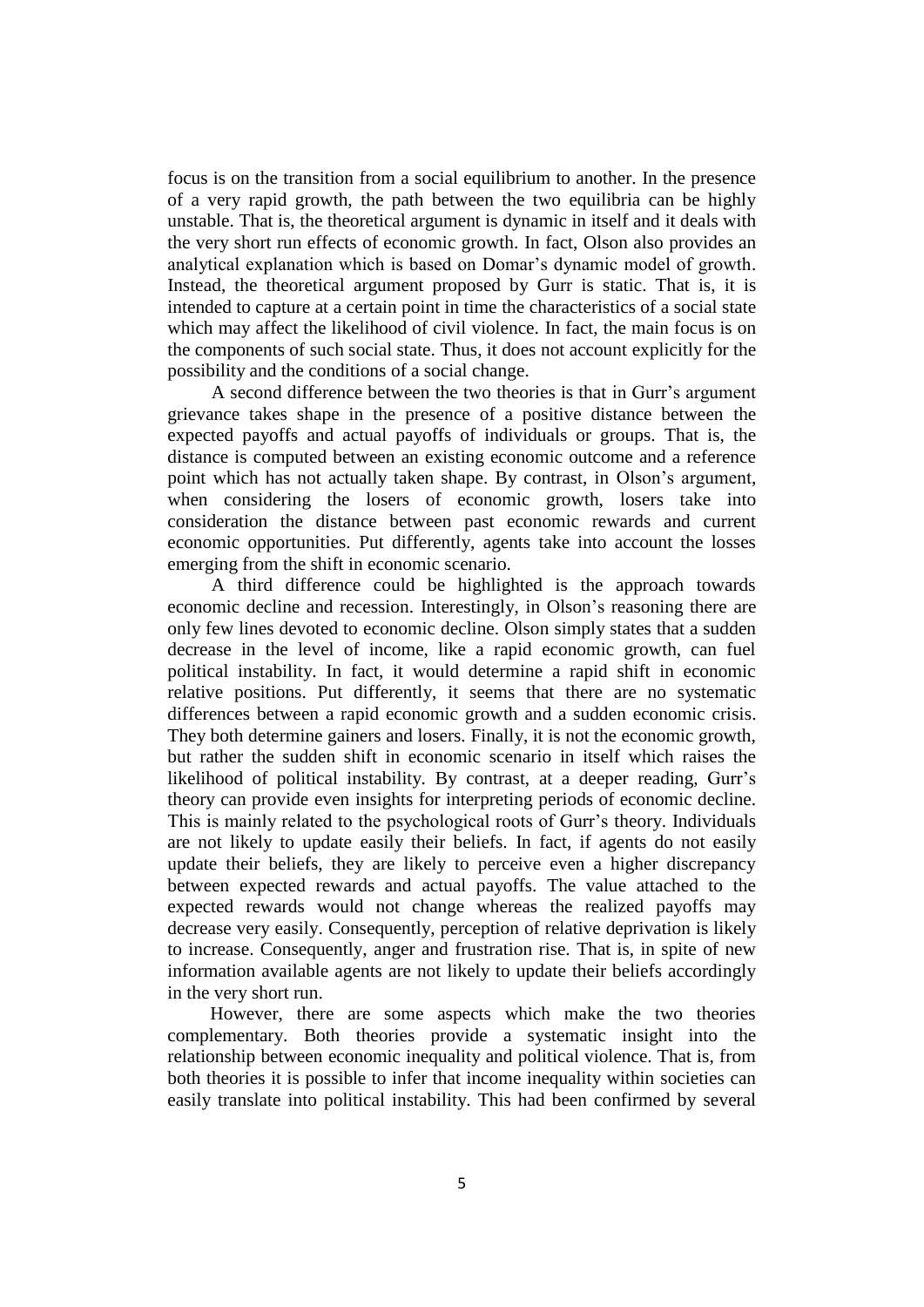focus is on the transition from a social equilibrium to another. In the presence of a very rapid growth, the path between the two equilibria can be highly unstable. That is, the theoretical argument is dynamic in itself and it deals with the very short run effects of economic growth. In fact, Olson also provides an analytical explanation which is based on Domar"s dynamic model of growth. Instead, the theoretical argument proposed by Gurr is static. That is, it is intended to capture at a certain point in time the characteristics of a social state which may affect the likelihood of civil violence. In fact, the main focus is on the components of such social state. Thus, it does not account explicitly for the possibility and the conditions of a social change.

A second difference between the two theories is that in Gurr"s argument grievance takes shape in the presence of a positive distance between the expected payoffs and actual payoffs of individuals or groups. That is, the distance is computed between an existing economic outcome and a reference point which has not actually taken shape. By contrast, in Olson"s argument, when considering the losers of economic growth, losers take into consideration the distance between past economic rewards and current economic opportunities. Put differently, agents take into account the losses emerging from the shift in economic scenario.

A third difference could be highlighted is the approach towards economic decline and recession. Interestingly, in Olson"s reasoning there are only few lines devoted to economic decline. Olson simply states that a sudden decrease in the level of income, like a rapid economic growth, can fuel political instability. In fact, it would determine a rapid shift in economic relative positions. Put differently, it seems that there are no systematic differences between a rapid economic growth and a sudden economic crisis. They both determine gainers and losers. Finally, it is not the economic growth, but rather the sudden shift in economic scenario in itself which raises the likelihood of political instability. By contrast, at a deeper reading, Gurr"s theory can provide even insights for interpreting periods of economic decline. This is mainly related to the psychological roots of Gurr's theory. Individuals are not likely to update easily their beliefs. In fact, if agents do not easily update their beliefs, they are likely to perceive even a higher discrepancy between expected rewards and actual payoffs. The value attached to the expected rewards would not change whereas the realized payoffs may decrease very easily. Consequently, perception of relative deprivation is likely to increase. Consequently, anger and frustration rise. That is, in spite of new information available agents are not likely to update their beliefs accordingly in the very short run.

However, there are some aspects which make the two theories complementary. Both theories provide a systematic insight into the relationship between economic inequality and political violence. That is, from both theories it is possible to infer that income inequality within societies can easily translate into political instability. This had been confirmed by several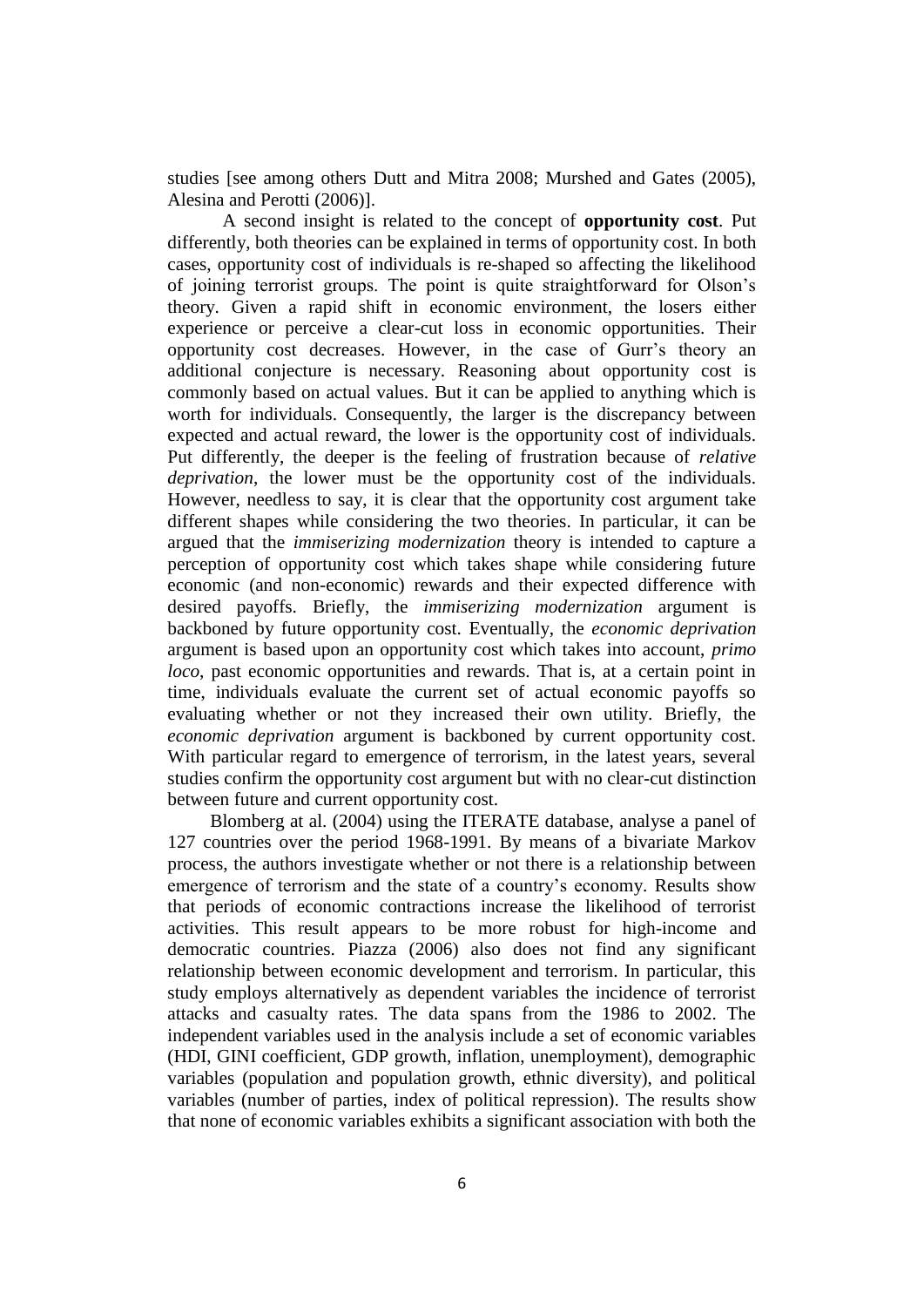studies [see among others Dutt and Mitra 2008; Murshed and Gates (2005), Alesina and Perotti (2006)].

A second insight is related to the concept of **opportunity cost**. Put differently, both theories can be explained in terms of opportunity cost. In both cases, opportunity cost of individuals is re-shaped so affecting the likelihood of joining terrorist groups. The point is quite straightforward for Olson"s theory. Given a rapid shift in economic environment, the losers either experience or perceive a clear-cut loss in economic opportunities. Their opportunity cost decreases. However, in the case of Gurr"s theory an additional conjecture is necessary. Reasoning about opportunity cost is commonly based on actual values. But it can be applied to anything which is worth for individuals. Consequently, the larger is the discrepancy between expected and actual reward, the lower is the opportunity cost of individuals. Put differently, the deeper is the feeling of frustration because of *relative deprivation*, the lower must be the opportunity cost of the individuals. However, needless to say, it is clear that the opportunity cost argument take different shapes while considering the two theories. In particular, it can be argued that the *immiserizing modernization* theory is intended to capture a perception of opportunity cost which takes shape while considering future economic (and non-economic) rewards and their expected difference with desired payoffs. Briefly, the *immiserizing modernization* argument is backboned by future opportunity cost. Eventually, the *economic deprivation* argument is based upon an opportunity cost which takes into account, *primo loco*, past economic opportunities and rewards. That is, at a certain point in time, individuals evaluate the current set of actual economic payoffs so evaluating whether or not they increased their own utility. Briefly, the *economic deprivation* argument is backboned by current opportunity cost. With particular regard to emergence of terrorism, in the latest years, several studies confirm the opportunity cost argument but with no clear-cut distinction between future and current opportunity cost.

Blomberg at al. (2004) using the ITERATE database, analyse a panel of 127 countries over the period 1968-1991. By means of a bivariate Markov process, the authors investigate whether or not there is a relationship between emergence of terrorism and the state of a country's economy. Results show that periods of economic contractions increase the likelihood of terrorist activities. This result appears to be more robust for high-income and democratic countries. Piazza (2006) also does not find any significant relationship between economic development and terrorism. In particular, this study employs alternatively as dependent variables the incidence of terrorist attacks and casualty rates. The data spans from the 1986 to 2002. The independent variables used in the analysis include a set of economic variables (HDI, GINI coefficient, GDP growth, inflation, unemployment), demographic variables (population and population growth, ethnic diversity), and political variables (number of parties, index of political repression). The results show that none of economic variables exhibits a significant association with both the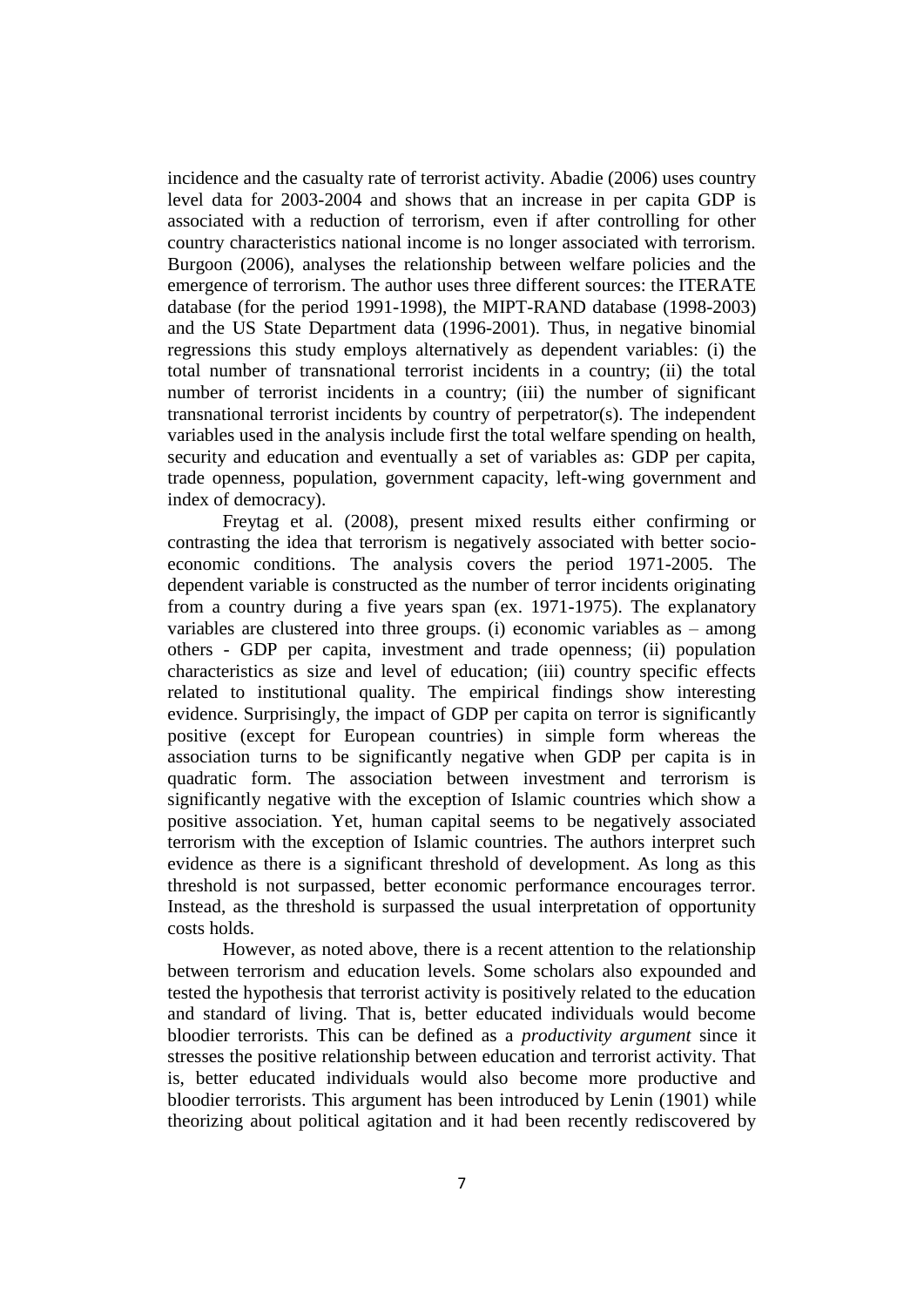incidence and the casualty rate of terrorist activity. Abadie (2006) uses country level data for 2003-2004 and shows that an increase in per capita GDP is associated with a reduction of terrorism, even if after controlling for other country characteristics national income is no longer associated with terrorism. Burgoon (2006), analyses the relationship between welfare policies and the emergence of terrorism. The author uses three different sources: the ITERATE database (for the period 1991-1998), the MIPT-RAND database (1998-2003) and the US State Department data (1996-2001). Thus, in negative binomial regressions this study employs alternatively as dependent variables: (i) the total number of transnational terrorist incidents in a country; (ii) the total number of terrorist incidents in a country; (iii) the number of significant transnational terrorist incidents by country of perpetrator(s). The independent variables used in the analysis include first the total welfare spending on health, security and education and eventually a set of variables as: GDP per capita, trade openness, population, government capacity, left-wing government and index of democracy).

Freytag et al. (2008), present mixed results either confirming or contrasting the idea that terrorism is negatively associated with better socioeconomic conditions. The analysis covers the period 1971-2005. The dependent variable is constructed as the number of terror incidents originating from a country during a five years span (ex. 1971-1975). The explanatory variables are clustered into three groups. (i) economic variables as – among others - GDP per capita, investment and trade openness; (ii) population characteristics as size and level of education; (iii) country specific effects related to institutional quality. The empirical findings show interesting evidence. Surprisingly, the impact of GDP per capita on terror is significantly positive (except for European countries) in simple form whereas the association turns to be significantly negative when GDP per capita is in quadratic form. The association between investment and terrorism is significantly negative with the exception of Islamic countries which show a positive association. Yet, human capital seems to be negatively associated terrorism with the exception of Islamic countries. The authors interpret such evidence as there is a significant threshold of development. As long as this threshold is not surpassed, better economic performance encourages terror. Instead, as the threshold is surpassed the usual interpretation of opportunity costs holds.

However, as noted above, there is a recent attention to the relationship between terrorism and education levels. Some scholars also expounded and tested the hypothesis that terrorist activity is positively related to the education and standard of living. That is, better educated individuals would become bloodier terrorists. This can be defined as a *productivity argument* since it stresses the positive relationship between education and terrorist activity. That is, better educated individuals would also become more productive and bloodier terrorists. This argument has been introduced by Lenin (1901) while theorizing about political agitation and it had been recently rediscovered by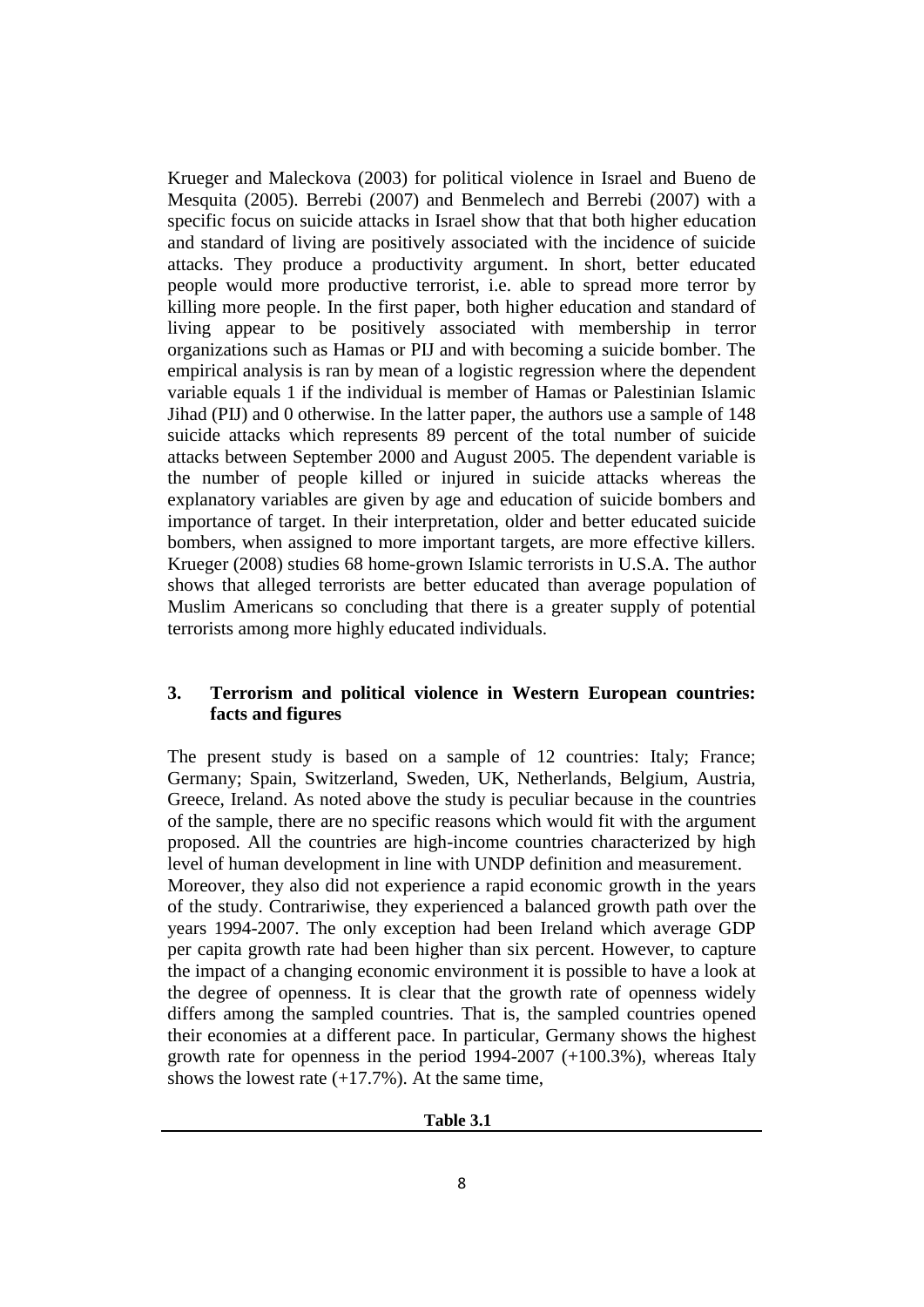Krueger and Maleckova (2003) for political violence in Israel and Bueno de Mesquita (2005). Berrebi (2007) and Benmelech and Berrebi (2007) with a specific focus on suicide attacks in Israel show that that both higher education and standard of living are positively associated with the incidence of suicide attacks. They produce a productivity argument. In short, better educated people would more productive terrorist, i.e. able to spread more terror by killing more people. In the first paper, both higher education and standard of living appear to be positively associated with membership in terror organizations such as Hamas or PIJ and with becoming a suicide bomber. The empirical analysis is ran by mean of a logistic regression where the dependent variable equals 1 if the individual is member of Hamas or Palestinian Islamic Jihad (PIJ) and 0 otherwise. In the latter paper, the authors use a sample of 148 suicide attacks which represents 89 percent of the total number of suicide attacks between September 2000 and August 2005. The dependent variable is the number of people killed or injured in suicide attacks whereas the explanatory variables are given by age and education of suicide bombers and importance of target. In their interpretation, older and better educated suicide bombers, when assigned to more important targets, are more effective killers. Krueger (2008) studies 68 home-grown Islamic terrorists in U.S.A. The author shows that alleged terrorists are better educated than average population of Muslim Americans so concluding that there is a greater supply of potential terrorists among more highly educated individuals.

## **3. Terrorism and political violence in Western European countries: facts and figures**

The present study is based on a sample of 12 countries: Italy; France; Germany; Spain, Switzerland, Sweden, UK, Netherlands, Belgium, Austria, Greece, Ireland. As noted above the study is peculiar because in the countries of the sample, there are no specific reasons which would fit with the argument proposed. All the countries are high-income countries characterized by high level of human development in line with UNDP definition and measurement. Moreover, they also did not experience a rapid economic growth in the years of the study. Contrariwise, they experienced a balanced growth path over the years 1994-2007. The only exception had been Ireland which average GDP per capita growth rate had been higher than six percent. However, to capture the impact of a changing economic environment it is possible to have a look at the degree of openness. It is clear that the growth rate of openness widely differs among the sampled countries. That is, the sampled countries opened their economies at a different pace. In particular, Germany shows the highest growth rate for openness in the period  $1994-2007$  (+100.3%), whereas Italy shows the lowest rate  $(+17.7\%)$ . At the same time,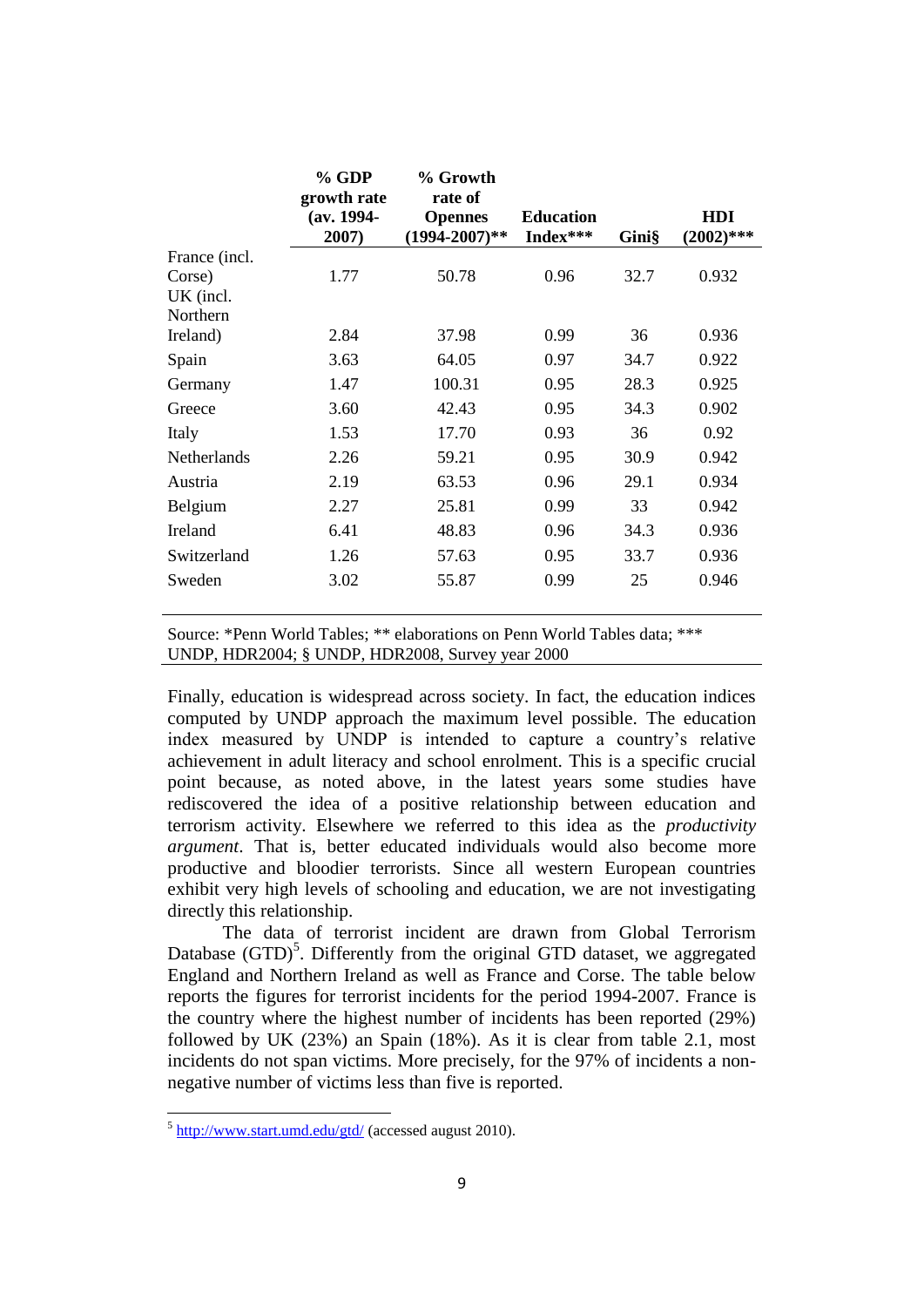|                       | % GDP<br>growth rate  | % Growth<br>rate of                  |                              |       |                            |
|-----------------------|-----------------------|--------------------------------------|------------------------------|-------|----------------------------|
|                       | $(av. 1994-$<br>2007) | <b>Opennes</b><br>$(1994 - 2007)$ ** | <b>Education</b><br>Index*** | Gini§ | <b>HDI</b><br>$(2002)$ *** |
| France (incl.         |                       |                                      |                              |       |                            |
| Corse)                | 1.77                  | 50.78                                | 0.96                         | 32.7  | 0.932                      |
| UK (incl.<br>Northern |                       |                                      |                              |       |                            |
| Ireland)              | 2.84                  | 37.98                                | 0.99                         | 36    | 0.936                      |
| Spain                 | 3.63                  | 64.05                                | 0.97                         | 34.7  | 0.922                      |
| Germany               | 1.47                  | 100.31                               | 0.95                         | 28.3  | 0.925                      |
| Greece                | 3.60                  | 42.43                                | 0.95                         | 34.3  | 0.902                      |
| Italy                 | 1.53                  | 17.70                                | 0.93                         | 36    | 0.92                       |
| Netherlands           | 2.26                  | 59.21                                | 0.95                         | 30.9  | 0.942                      |
| Austria               | 2.19                  | 63.53                                | 0.96                         | 29.1  | 0.934                      |
| Belgium               | 2.27                  | 25.81                                | 0.99                         | 33    | 0.942                      |
| Ireland               | 6.41                  | 48.83                                | 0.96                         | 34.3  | 0.936                      |
| Switzerland           | 1.26                  | 57.63                                | 0.95                         | 33.7  | 0.936                      |
| Sweden                | 3.02                  | 55.87                                | 0.99                         | 25    | 0.946                      |

Source: \*Penn World Tables; \*\* elaborations on Penn World Tables data; \*\*\* UNDP, HDR2004; § UNDP, HDR2008, Survey year 2000

Finally, education is widespread across society. In fact, the education indices computed by UNDP approach the maximum level possible. The education index measured by UNDP is intended to capture a country"s relative achievement in adult literacy and school enrolment. This is a specific crucial point because, as noted above, in the latest years some studies have rediscovered the idea of a positive relationship between education and terrorism activity. Elsewhere we referred to this idea as the *productivity argument*. That is, better educated individuals would also become more productive and bloodier terrorists. Since all western European countries exhibit very high levels of schooling and education, we are not investigating directly this relationship.

The data of terrorist incident are drawn from Global Terrorism Database  $(GTD)^5$ . Differently from the original GTD dataset, we aggregated England and Northern Ireland as well as France and Corse. The table below reports the figures for terrorist incidents for the period 1994-2007. France is the country where the highest number of incidents has been reported (29%) followed by UK (23%) an Spain (18%). As it is clear from table 2.1, most incidents do not span victims. More precisely, for the 97% of incidents a nonnegative number of victims less than five is reported.

**.** 

 $<sup>5</sup>$  <http://www.start.umd.edu/gtd/> (accessed august 2010).</sup>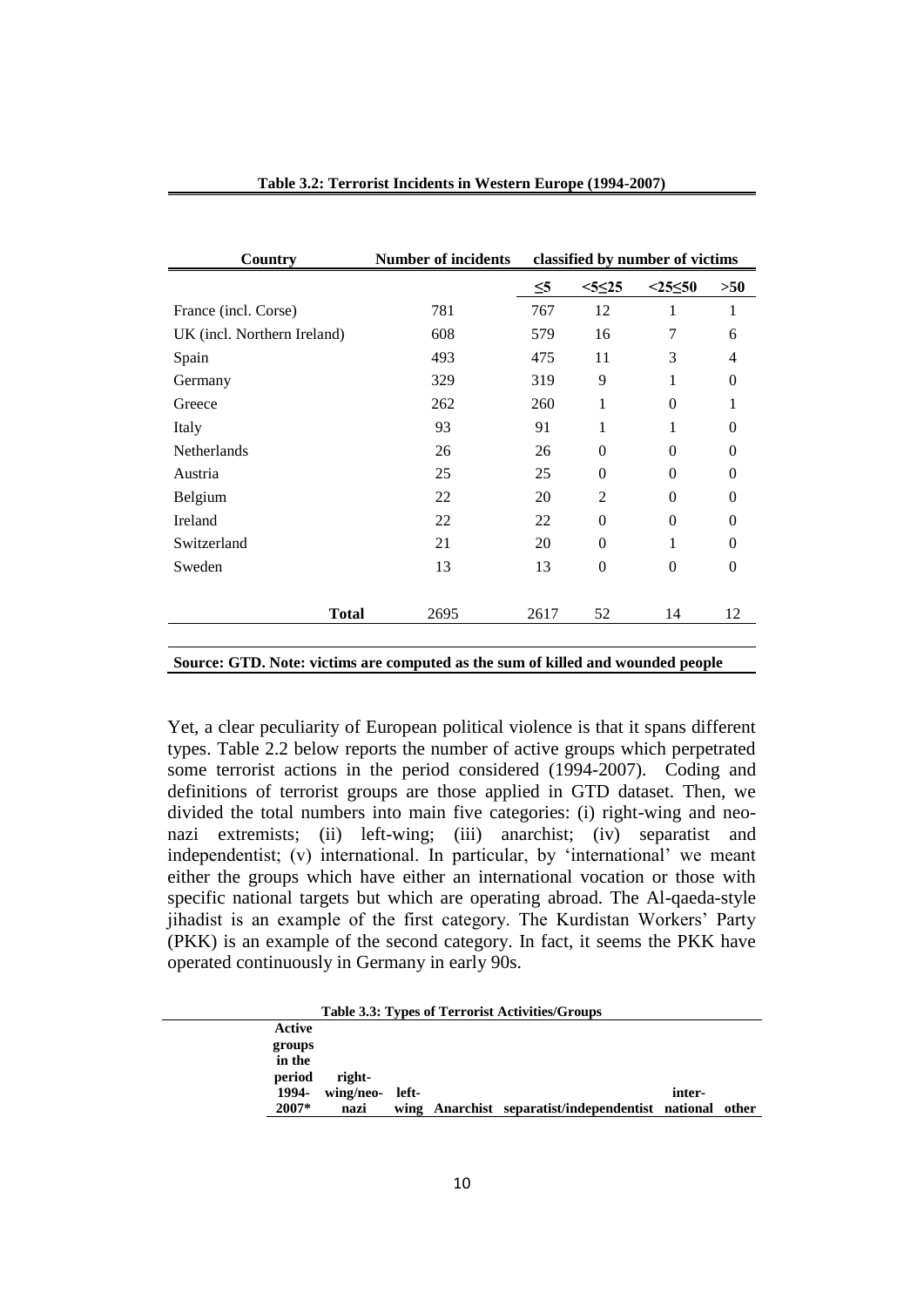| Country                     | <b>Number of incidents</b> |          | classified by number of victims |                |                |  |  |  |
|-----------------------------|----------------------------|----------|---------------------------------|----------------|----------------|--|--|--|
|                             |                            | $\leq 5$ | $<5 \leq 25$                    | $<25 \leq 50$  | $>50$          |  |  |  |
| France (incl. Corse)        | 781                        | 767      | 12                              | 1              | 1              |  |  |  |
| UK (incl. Northern Ireland) | 608                        | 579      | 16                              | 7              | 6              |  |  |  |
| Spain                       | 493                        | 475      | 11                              | 3              | 4              |  |  |  |
| Germany                     | 329                        | 319      | 9                               | 1              | $\Omega$       |  |  |  |
| Greece                      | 262                        | 260      | 1                               | $\Omega$       | 1              |  |  |  |
| Italy                       | 93                         | 91       | 1                               |                | $\Omega$       |  |  |  |
| <b>Netherlands</b>          | 26                         | 26       | $\Omega$                        | $\Omega$       | $\theta$       |  |  |  |
| Austria                     | 25                         | 25       | $\Omega$                        | $\Omega$       | 0              |  |  |  |
| Belgium                     | 22                         | 20       | $\mathfrak{D}$                  | $\Omega$       | 0              |  |  |  |
| Ireland                     | 22                         | 22       | $\Omega$                        | $\Omega$       | 0              |  |  |  |
| Switzerland                 | 21                         | 20       | $\Omega$                        | 1              | 0              |  |  |  |
| Sweden                      | 13                         | 13       | $\overline{0}$                  | $\overline{0}$ | $\overline{0}$ |  |  |  |
|                             |                            |          |                                 |                |                |  |  |  |
| <b>Total</b>                | 2695                       | 2617     | 52                              | 14             | 12             |  |  |  |
|                             |                            |          |                                 |                |                |  |  |  |

Yet, a clear peculiarity of European political violence is that it spans different types. Table 2.2 below reports the number of active groups which perpetrated some terrorist actions in the period considered (1994-2007). Coding and definitions of terrorist groups are those applied in GTD dataset. Then, we divided the total numbers into main five categories: (i) right-wing and neonazi extremists; (ii) left-wing; (iii) anarchist; (iv) separatist and independentist; (v) international. In particular, by "international" we meant either the groups which have either an international vocation or those with specific national targets but which are operating abroad. The Al-qaeda-style jihadist is an example of the first category. The Kurdistan Workers" Party (PKK) is an example of the second category. In fact, it seems the PKK have operated continuously in Germany in early 90s.

**Table 3.3: Types of Terrorist Activities/Groups**

| Active |                 |  |                                                   |        |       |
|--------|-----------------|--|---------------------------------------------------|--------|-------|
| groups |                 |  |                                                   |        |       |
| in the |                 |  |                                                   |        |       |
| period | right-          |  |                                                   |        |       |
| 1994-  | wing/neo- left- |  |                                                   | inter- |       |
| 2007*  | nazi            |  | wing Anarchist separatist/independentist national |        | other |

**Source: GTD. Note: victims are computed as the sum of killed and wounded people**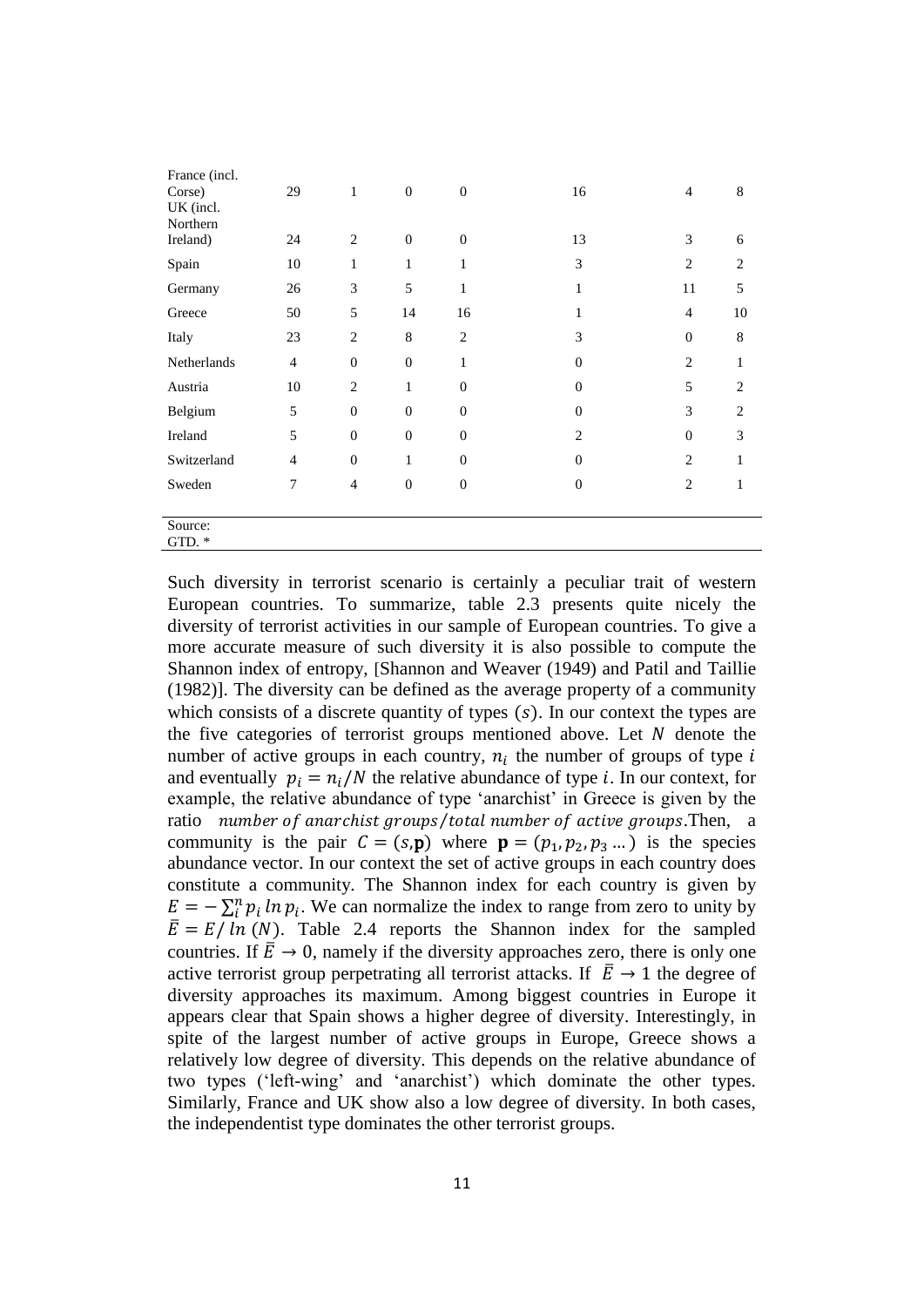| France (incl.       |                |                  |                  |                  |                |                |                |
|---------------------|----------------|------------------|------------------|------------------|----------------|----------------|----------------|
| Corse)<br>UK (incl. | 29             | $\mathbf{1}$     | $\boldsymbol{0}$ | $\boldsymbol{0}$ | 16             | $\overline{4}$ | $\,8\,$        |
| Northern            |                |                  |                  |                  |                |                |                |
| Ireland)            | 24             | $\overline{2}$   | $\boldsymbol{0}$ | $\boldsymbol{0}$ | 13             | 3              | 6              |
| Spain               | 10             | $\mathbf{1}$     | $\mathbf{1}$     | 1                | 3              | $\overline{2}$ | $\overline{c}$ |
| Germany             | 26             | 3                | 5                | $\mathbf{1}$     | 1              | 11             | 5              |
| Greece              | 50             | 5                | 14               | 16               | 1              | $\overline{4}$ | 10             |
| Italy               | 23             | $\overline{2}$   | 8                | $\mathbf{2}$     | 3              | $\theta$       | 8              |
| Netherlands         | $\overline{4}$ | $\boldsymbol{0}$ | $\boldsymbol{0}$ | 1                | $\overline{0}$ | $\overline{2}$ | 1              |
| Austria             | 10             | $\overline{2}$   | $\mathbf{1}$     | $\Omega$         | $\Omega$       | 5              | $\overline{2}$ |
| Belgium             | 5              | $\boldsymbol{0}$ | $\theta$         | $\mathbf{0}$     | $\overline{0}$ | 3              | $\overline{2}$ |
| Ireland             | 5              | $\theta$         | $\mathbf{0}$     | $\mathbf{0}$     | $\overline{2}$ | $\theta$       | 3              |
| Switzerland         | $\overline{4}$ | $\theta$         | $\mathbf{1}$     | $\mathbf{0}$     | $\overline{0}$ | $\overline{2}$ | 1              |
| Sweden              | $\overline{7}$ | $\overline{4}$   | $\boldsymbol{0}$ | $\mathbf{0}$     | $\overline{0}$ | 2              | 1              |
|                     |                |                  |                  |                  |                |                |                |
| Source:             |                |                  |                  |                  |                |                |                |
| GTD. *              |                |                  |                  |                  |                |                |                |

Such diversity in terrorist scenario is certainly a peculiar trait of western European countries. To summarize, table 2.3 presents quite nicely the diversity of terrorist activities in our sample of European countries. To give a more accurate measure of such diversity it is also possible to compute the Shannon index of entropy, [Shannon and Weaver (1949) and Patil and Taillie (1982)]. The diversity can be defined as the average property of a community which consists of a discrete quantity of types  $(s)$ . In our context the types are the five categories of terrorist groups mentioned above. Let  $N$  denote the number of active groups in each country,  $n_i$  the number of groups of type and eventually  $p_i = n_i/N$  the relative abundance of type *i*. In our context, for example, the relative abundance of type 'anarchist' in Greece is given by the ratio number of anarchist groups/total number of active groups. Then, a community is the pair  $C = (s, \mathbf{p})$  where  $\mathbf{p} = (p_1, p_2, p_3, \dots)$  is the species abundance vector. In our context the set of active groups in each country does constitute a community. The Shannon index for each country is given by  $E = -\sum_{i=1}^{n} p_i \ln p_i$ . We can normalize the index to range from zero to unity by  $\overline{E} = E / ln (N)$ . Table 2.4 reports the Shannon index for the sampled countries. If  $\bar{E} \rightarrow 0$ , namely if the diversity approaches zero, there is only one active terrorist group perpetrating all terrorist attacks. If  $\overline{E} \rightarrow 1$  the degree of diversity approaches its maximum. Among biggest countries in Europe it appears clear that Spain shows a higher degree of diversity. Interestingly, in spite of the largest number of active groups in Europe, Greece shows a relatively low degree of diversity. This depends on the relative abundance of two types ("left-wing" and "anarchist") which dominate the other types. Similarly, France and UK show also a low degree of diversity. In both cases, the independentist type dominates the other terrorist groups.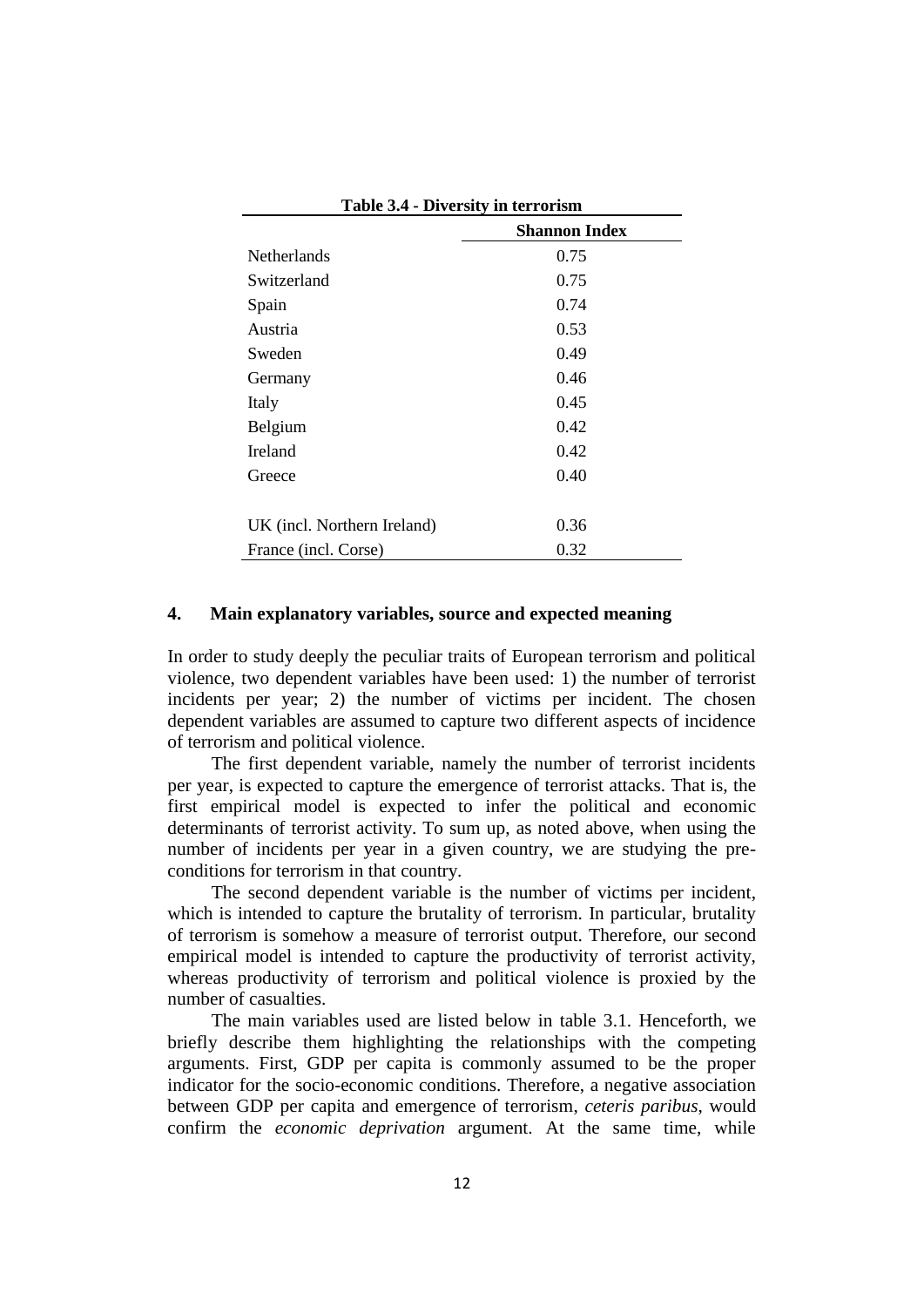| Table 5.4 - Diversity in terrorisht |                      |
|-------------------------------------|----------------------|
|                                     | <b>Shannon Index</b> |
| <b>Netherlands</b>                  | 0.75                 |
| Switzerland                         | 0.75                 |
| Spain                               | 0.74                 |
| Austria                             | 0.53                 |
| Sweden                              | 0.49                 |
| Germany                             | 0.46                 |
| Italy                               | 0.45                 |
| Belgium                             | 0.42                 |
| Ireland                             | 0.42                 |
| Greece                              | 0.40                 |
|                                     |                      |
| UK (incl. Northern Ireland)         | 0.36                 |
| France (incl. Corse)                | 0.32                 |

**Table 3.4 - Diversity in terrorism** 

#### **4. Main explanatory variables, source and expected meaning**

In order to study deeply the peculiar traits of European terrorism and political violence, two dependent variables have been used: 1) the number of terrorist incidents per year; 2) the number of victims per incident. The chosen dependent variables are assumed to capture two different aspects of incidence of terrorism and political violence.

The first dependent variable, namely the number of terrorist incidents per year, is expected to capture the emergence of terrorist attacks. That is, the first empirical model is expected to infer the political and economic determinants of terrorist activity. To sum up, as noted above, when using the number of incidents per year in a given country, we are studying the preconditions for terrorism in that country.

The second dependent variable is the number of victims per incident, which is intended to capture the brutality of terrorism. In particular, brutality of terrorism is somehow a measure of terrorist output. Therefore, our second empirical model is intended to capture the productivity of terrorist activity, whereas productivity of terrorism and political violence is proxied by the number of casualties.

The main variables used are listed below in table 3.1. Henceforth, we briefly describe them highlighting the relationships with the competing arguments. First, GDP per capita is commonly assumed to be the proper indicator for the socio-economic conditions. Therefore, a negative association between GDP per capita and emergence of terrorism, *ceteris paribus*, would confirm the *economic deprivation* argument. At the same time, while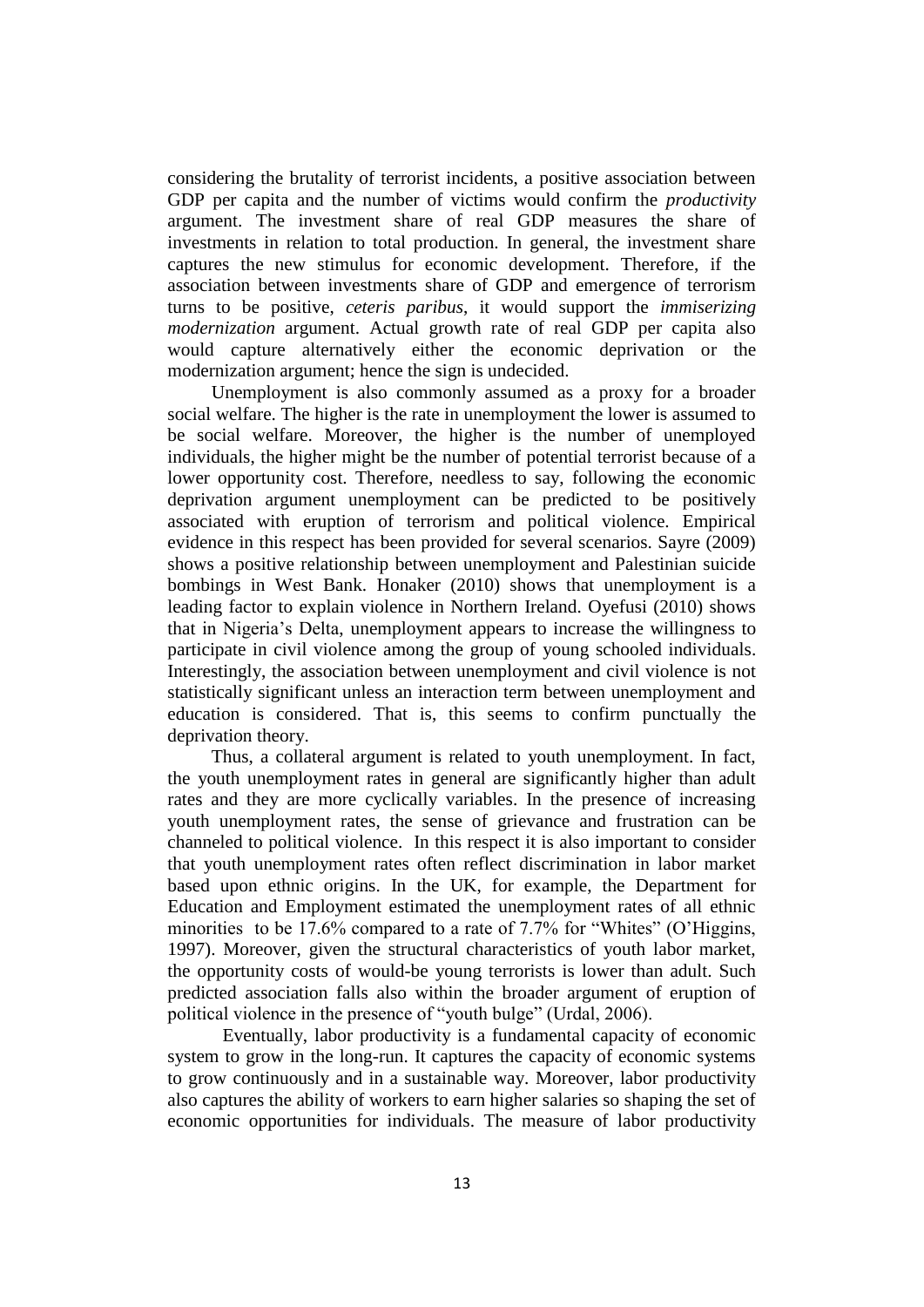considering the brutality of terrorist incidents, a positive association between GDP per capita and the number of victims would confirm the *productivity* argument. The investment share of real GDP measures the share of investments in relation to total production. In general, the investment share captures the new stimulus for economic development. Therefore, if the association between investments share of GDP and emergence of terrorism turns to be positive, *ceteris paribus*, it would support the *immiserizing modernization* argument. Actual growth rate of real GDP per capita also would capture alternatively either the economic deprivation or the modernization argument; hence the sign is undecided.

Unemployment is also commonly assumed as a proxy for a broader social welfare. The higher is the rate in unemployment the lower is assumed to be social welfare. Moreover, the higher is the number of unemployed individuals, the higher might be the number of potential terrorist because of a lower opportunity cost. Therefore, needless to say, following the economic deprivation argument unemployment can be predicted to be positively associated with eruption of terrorism and political violence. Empirical evidence in this respect has been provided for several scenarios. Sayre (2009) shows a positive relationship between unemployment and Palestinian suicide bombings in West Bank. Honaker (2010) shows that unemployment is a leading factor to explain violence in Northern Ireland. Oyefusi (2010) shows that in Nigeria"s Delta, unemployment appears to increase the willingness to participate in civil violence among the group of young schooled individuals. Interestingly, the association between unemployment and civil violence is not statistically significant unless an interaction term between unemployment and education is considered. That is, this seems to confirm punctually the deprivation theory.

Thus, a collateral argument is related to youth unemployment. In fact, the youth unemployment rates in general are significantly higher than adult rates and they are more cyclically variables. In the presence of increasing youth unemployment rates, the sense of grievance and frustration can be channeled to political violence. In this respect it is also important to consider that youth unemployment rates often reflect discrimination in labor market based upon ethnic origins. In the UK, for example, the Department for Education and Employment estimated the unemployment rates of all ethnic minorities to be 17.6% compared to a rate of 7.7% for "Whites" (O"Higgins, 1997). Moreover, given the structural characteristics of youth labor market, the opportunity costs of would-be young terrorists is lower than adult. Such predicted association falls also within the broader argument of eruption of political violence in the presence of "youth bulge" (Urdal, 2006).

Eventually, labor productivity is a fundamental capacity of economic system to grow in the long-run. It captures the capacity of economic systems to grow continuously and in a sustainable way. Moreover, labor productivity also captures the ability of workers to earn higher salaries so shaping the set of economic opportunities for individuals. The measure of labor productivity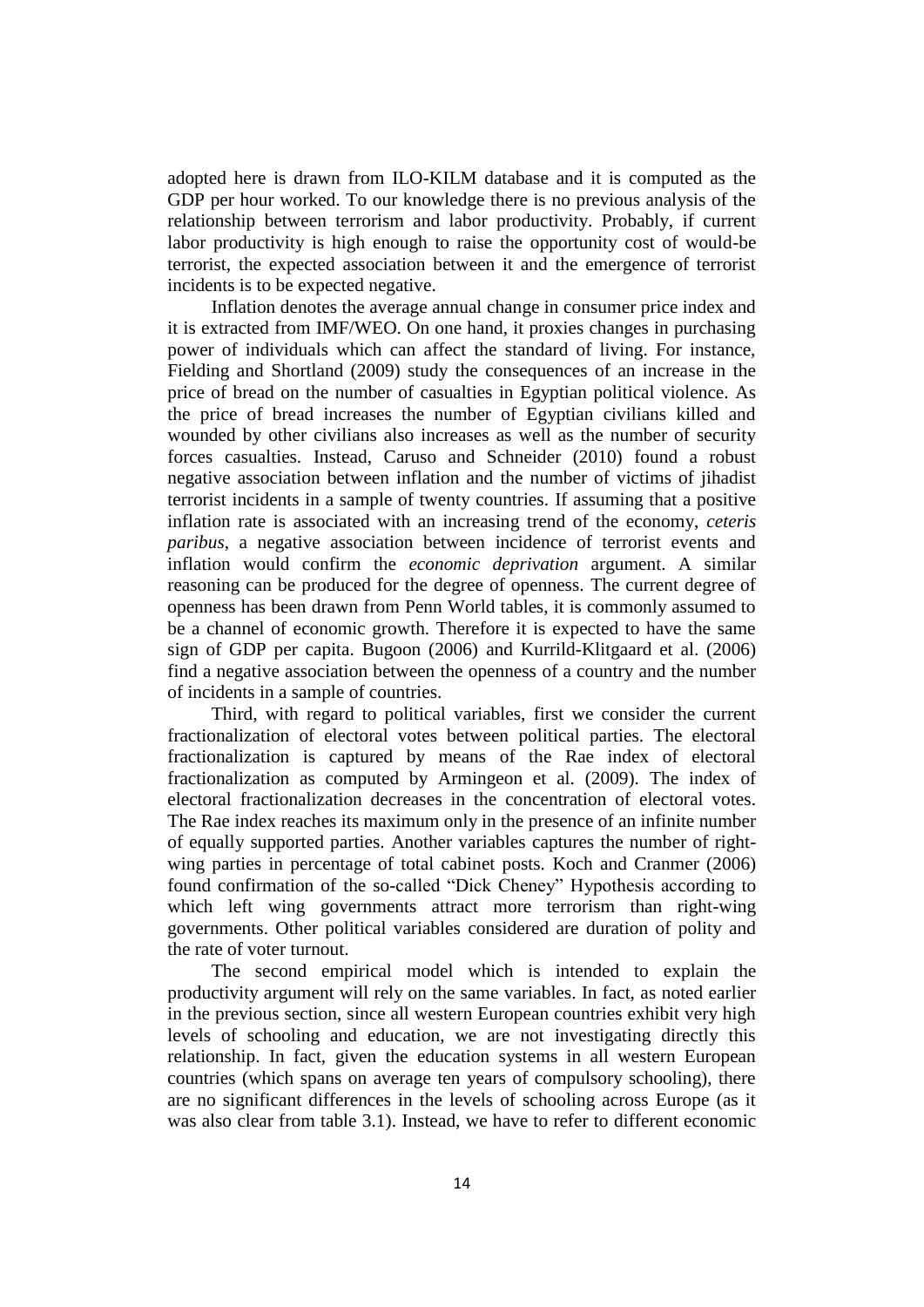adopted here is drawn from ILO-KILM database and it is computed as the GDP per hour worked. To our knowledge there is no previous analysis of the relationship between terrorism and labor productivity. Probably, if current labor productivity is high enough to raise the opportunity cost of would-be terrorist, the expected association between it and the emergence of terrorist incidents is to be expected negative.

Inflation denotes the average annual change in consumer price index and it is extracted from IMF/WEO. On one hand, it proxies changes in purchasing power of individuals which can affect the standard of living. For instance, Fielding and Shortland (2009) study the consequences of an increase in the price of bread on the number of casualties in Egyptian political violence. As the price of bread increases the number of Egyptian civilians killed and wounded by other civilians also increases as well as the number of security forces casualties. Instead, Caruso and Schneider (2010) found a robust negative association between inflation and the number of victims of jihadist terrorist incidents in a sample of twenty countries. If assuming that a positive inflation rate is associated with an increasing trend of the economy, *ceteris paribus*, a negative association between incidence of terrorist events and inflation would confirm the *economic deprivation* argument. A similar reasoning can be produced for the degree of openness. The current degree of openness has been drawn from Penn World tables, it is commonly assumed to be a channel of economic growth. Therefore it is expected to have the same sign of GDP per capita. Bugoon (2006) and Kurrild-Klitgaard et al. (2006) find a negative association between the openness of a country and the number of incidents in a sample of countries.

Third, with regard to political variables, first we consider the current fractionalization of electoral votes between political parties. The electoral fractionalization is captured by means of the Rae index of electoral fractionalization as computed by Armingeon et al. (2009). The index of electoral fractionalization decreases in the concentration of electoral votes. The Rae index reaches its maximum only in the presence of an infinite number of equally supported parties. Another variables captures the number of rightwing parties in percentage of total cabinet posts. Koch and Cranmer (2006) found confirmation of the so-called "Dick Cheney" Hypothesis according to which left wing governments attract more terrorism than right-wing governments. Other political variables considered are duration of polity and the rate of voter turnout.

The second empirical model which is intended to explain the productivity argument will rely on the same variables. In fact, as noted earlier in the previous section, since all western European countries exhibit very high levels of schooling and education, we are not investigating directly this relationship. In fact, given the education systems in all western European countries (which spans on average ten years of compulsory schooling), there are no significant differences in the levels of schooling across Europe (as it was also clear from table 3.1). Instead, we have to refer to different economic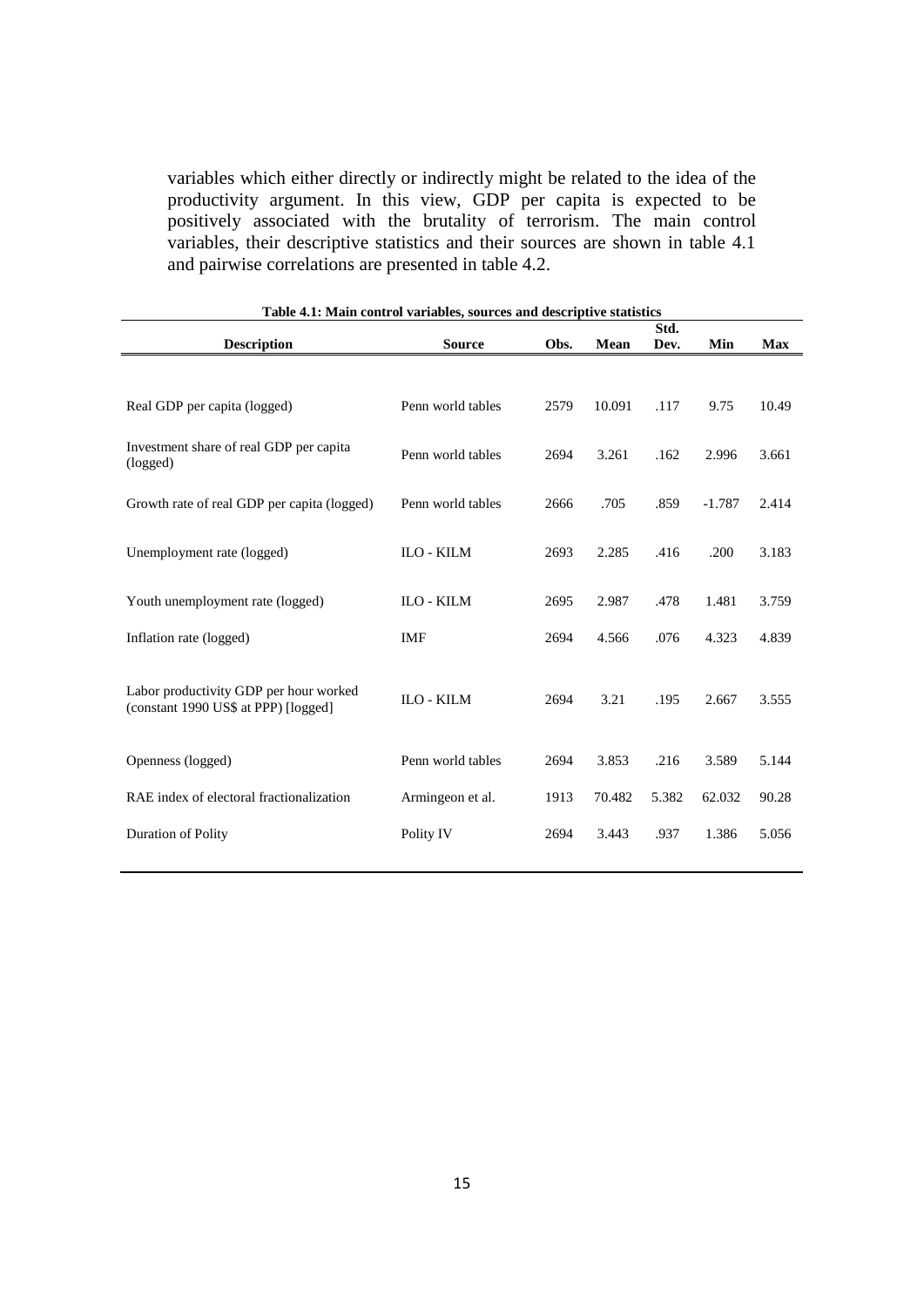variables which either directly or indirectly might be related to the idea of the productivity argument. In this view, GDP per capita is expected to be positively associated with the brutality of terrorism. The main control variables, their descriptive statistics and their sources are shown in table 4.1 and pairwise correlations are presented in table 4.2.

| Table 4.1: Main control variables, sources and descriptive statistics          |                   |      |        |              |          |            |  |  |  |  |  |
|--------------------------------------------------------------------------------|-------------------|------|--------|--------------|----------|------------|--|--|--|--|--|
| <b>Description</b>                                                             | <b>Source</b>     | Obs. | Mean   | Std.<br>Dev. | Min      | <b>Max</b> |  |  |  |  |  |
|                                                                                |                   |      |        |              |          |            |  |  |  |  |  |
| Real GDP per capita (logged)                                                   | Penn world tables | 2579 | 10.091 | .117         | 9.75     | 10.49      |  |  |  |  |  |
| Investment share of real GDP per capita<br>(logged)                            | Penn world tables | 2694 | 3.261  | .162         | 2.996    | 3.661      |  |  |  |  |  |
| Growth rate of real GDP per capita (logged)                                    | Penn world tables | 2666 | .705   | .859         | $-1.787$ | 2.414      |  |  |  |  |  |
| Unemployment rate (logged)                                                     | ILO - KILM        | 2693 | 2.285  | .416         | .200     | 3.183      |  |  |  |  |  |
| Youth unemployment rate (logged)                                               | ILO - KILM        | 2695 | 2.987  | .478         | 1.481    | 3.759      |  |  |  |  |  |
| Inflation rate (logged)                                                        | IMF               | 2694 | 4.566  | .076         | 4.323    | 4.839      |  |  |  |  |  |
| Labor productivity GDP per hour worked<br>(constant 1990 US\$ at PPP) [logged] | ILO - KILM        | 2694 | 3.21   | .195         | 2.667    | 3.555      |  |  |  |  |  |
| Openness (logged)                                                              | Penn world tables | 2694 | 3.853  | .216         | 3.589    | 5.144      |  |  |  |  |  |
| RAE index of electoral fractionalization                                       | Armingeon et al.  | 1913 | 70.482 | 5.382        | 62.032   | 90.28      |  |  |  |  |  |
| Duration of Polity                                                             | Polity IV         | 2694 | 3.443  | .937         | 1.386    | 5.056      |  |  |  |  |  |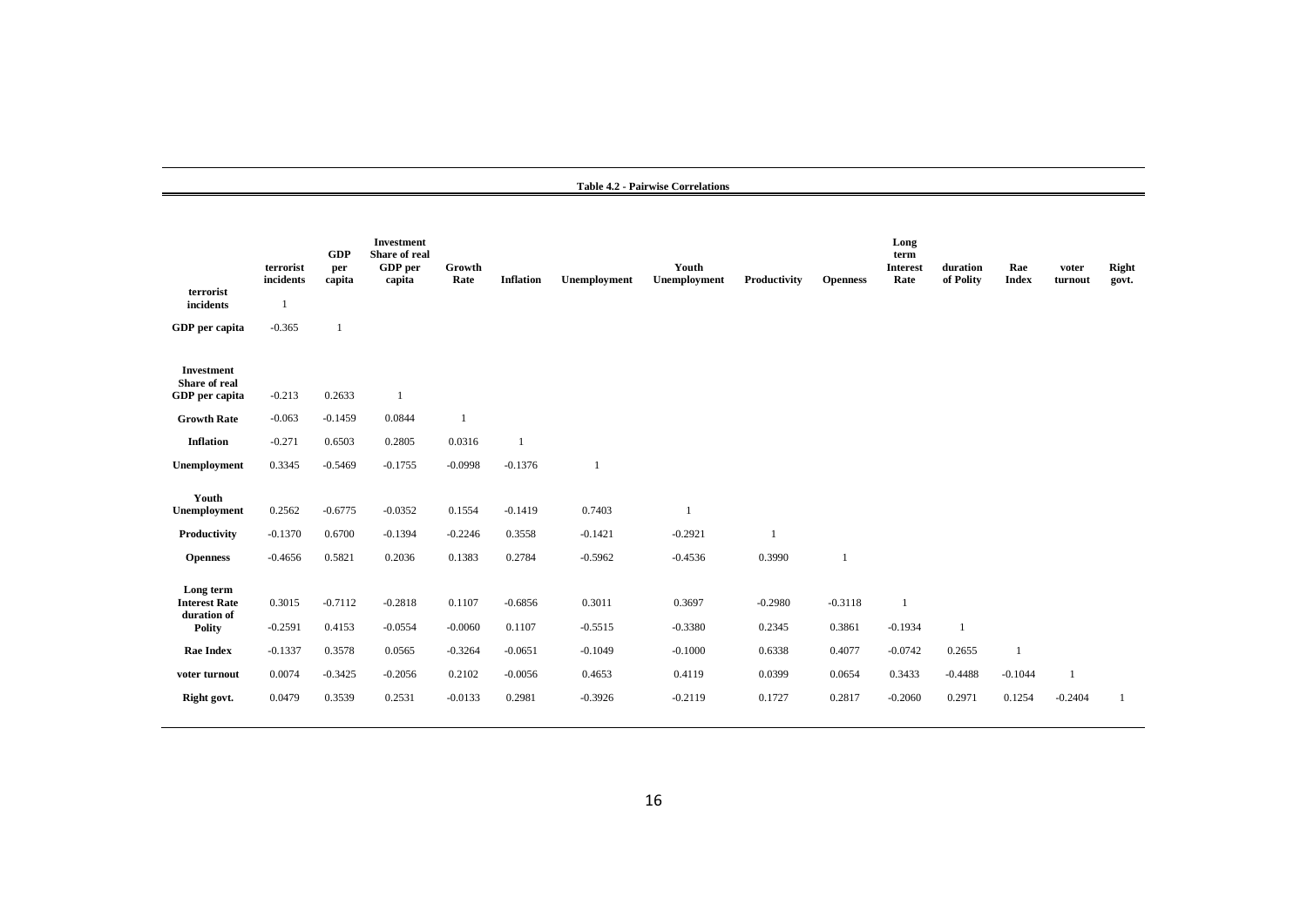**Table 4.2 - Pairwise Correlations**

| terrorist<br>incidents<br>GDP per capita                          | terrorist<br>incidents<br>$-0.365$ | <b>GDP</b><br>per<br>capita<br>1 | Investment<br>Share of real<br>GDP per<br>capita | Growth<br>Rate      | <b>Inflation</b>    | <b>Unemployment</b> | Youth<br>Unemployment | Productivity        | <b>Openness</b>     | Long<br>term<br><b>Interest</b><br>Rate | duration<br>of Polity | Rae<br><b>Index</b> | voter<br>turnout | Right<br>govt. |
|-------------------------------------------------------------------|------------------------------------|----------------------------------|--------------------------------------------------|---------------------|---------------------|---------------------|-----------------------|---------------------|---------------------|-----------------------------------------|-----------------------|---------------------|------------------|----------------|
| <b>Investment</b><br>Share of real<br>GDP per capita              | $-0.213$                           | 0.2633                           | 1                                                |                     |                     |                     |                       |                     |                     |                                         |                       |                     |                  |                |
| <b>Growth Rate</b>                                                | $-0.063$                           | $-0.1459$                        | 0.0844                                           | $\mathbf{1}$        |                     |                     |                       |                     |                     |                                         |                       |                     |                  |                |
| <b>Inflation</b>                                                  | $-0.271$                           | 0.6503                           | 0.2805                                           | 0.0316              | $\mathbf{1}$        |                     |                       |                     |                     |                                         |                       |                     |                  |                |
| Unemployment                                                      | 0.3345                             | $-0.5469$                        | $-0.1755$                                        | $-0.0998$           | $-0.1376$           | 1                   |                       |                     |                     |                                         |                       |                     |                  |                |
| Youth<br>Unemployment                                             | 0.2562                             | $-0.6775$                        | $-0.0352$                                        | 0.1554              | $-0.1419$           | 0.7403              | 1                     |                     |                     |                                         |                       |                     |                  |                |
| Productivity                                                      | $-0.1370$                          | 0.6700                           | $-0.1394$                                        | $-0.2246$           | 0.3558              | $-0.1421$           | $-0.2921$             | 1                   |                     |                                         |                       |                     |                  |                |
| <b>Openness</b>                                                   | $-0.4656$                          | 0.5821                           | 0.2036                                           | 0.1383              | 0.2784              | $-0.5962$           | $-0.4536$             | 0.3990              |                     |                                         |                       |                     |                  |                |
| Long term<br><b>Interest Rate</b><br>duration of<br><b>Polity</b> | 0.3015<br>$-0.2591$                | $-0.7112$<br>0.4153              | $-0.2818$<br>$-0.0554$                           | 0.1107<br>$-0.0060$ | $-0.6856$<br>0.1107 | 0.3011<br>$-0.5515$ | 0.3697<br>$-0.3380$   | $-0.2980$<br>0.2345 | $-0.3118$<br>0.3861 | 1<br>$-0.1934$                          | $\mathbf{1}$          |                     |                  |                |
| <b>Rae Index</b>                                                  | $-0.1337$                          | 0.3578                           | 0.0565                                           | $-0.3264$           | $-0.0651$           | $-0.1049$           | $-0.1000$             | 0.6338              | 0.4077              | $-0.0742$                               | 0.2655                | $\mathbf{1}$        |                  |                |
| voter turnout                                                     | 0.0074                             | $-0.3425$                        | $-0.2056$                                        | 0.2102              | $-0.0056$           | 0.4653              | 0.4119                | 0.0399              | 0.0654              | 0.3433                                  | $-0.4488$             | $-0.1044$           | $\mathbf{1}$     |                |
| Right govt.                                                       | 0.0479                             | 0.3539                           | 0.2531                                           | $-0.0133$           | 0.2981              | $-0.3926$           | $-0.2119$             | 0.1727              | 0.2817              | $-0.2060$                               | 0.2971                | 0.1254              | $-0.2404$        |                |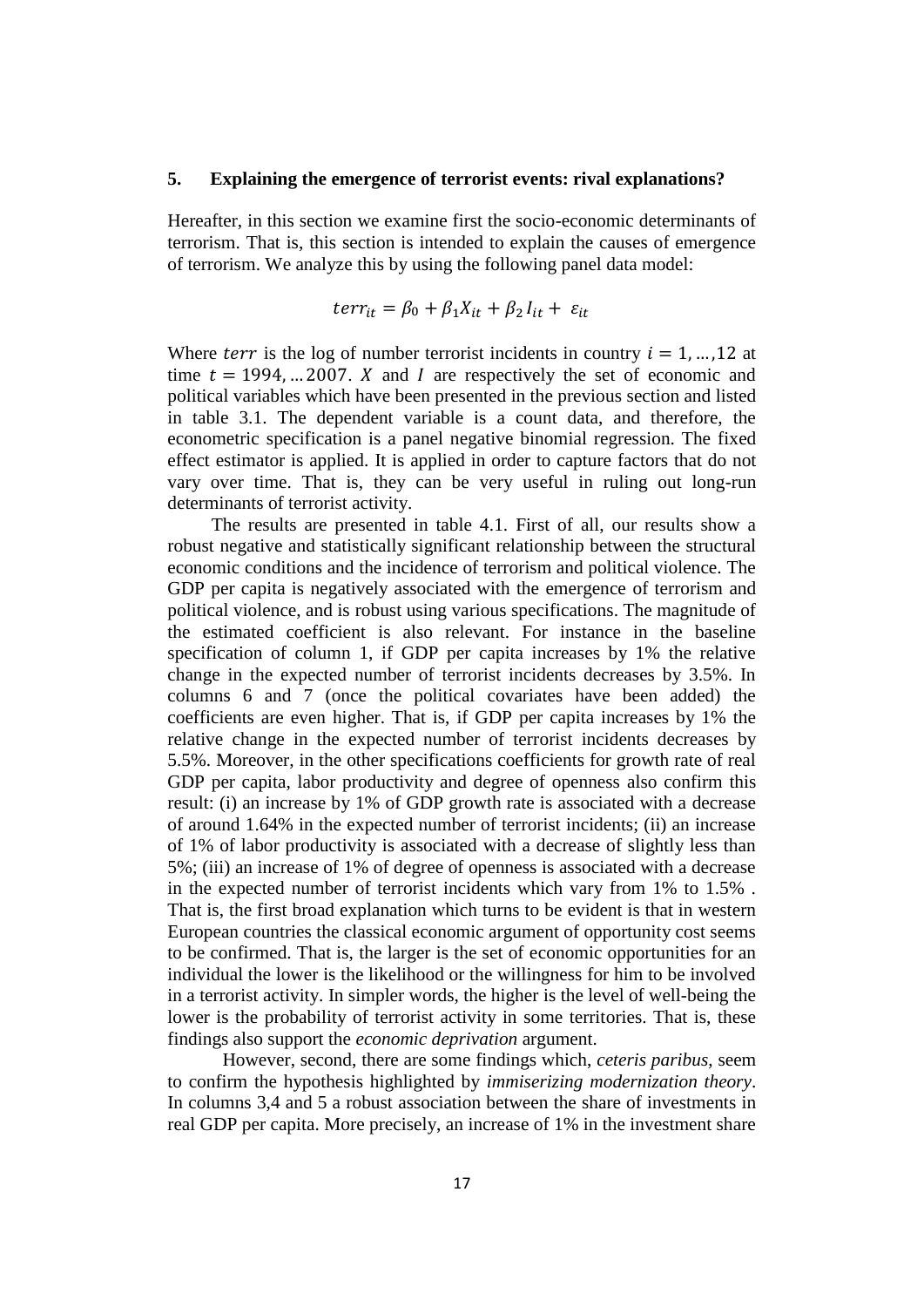### **5. Explaining the emergence of terrorist events: rival explanations?**

Hereafter, in this section we examine first the socio-economic determinants of terrorism. That is, this section is intended to explain the causes of emergence of terrorism. We analyze this by using the following panel data model:

$$
terr_{it} = \beta_0 + \beta_1 X_{it} + \beta_2 I_{it} + \varepsilon_{it}
$$

Where terr is the log of number terrorist incidents in country  $i = 1, \dots, 12$  at time  $t = 1994$ , ... 2007. X and I are respectively the set of economic and political variables which have been presented in the previous section and listed in table 3.1. The dependent variable is a count data, and therefore, the econometric specification is a panel negative binomial regression. The fixed effect estimator is applied. It is applied in order to capture factors that do not vary over time. That is, they can be very useful in ruling out long-run determinants of terrorist activity.

The results are presented in table 4.1. First of all, our results show a robust negative and statistically significant relationship between the structural economic conditions and the incidence of terrorism and political violence. The GDP per capita is negatively associated with the emergence of terrorism and political violence, and is robust using various specifications. The magnitude of the estimated coefficient is also relevant. For instance in the baseline specification of column 1, if GDP per capita increases by 1% the relative change in the expected number of terrorist incidents decreases by 3.5%. In columns 6 and 7 (once the political covariates have been added) the coefficients are even higher. That is, if GDP per capita increases by 1% the relative change in the expected number of terrorist incidents decreases by 5.5%. Moreover, in the other specifications coefficients for growth rate of real GDP per capita, labor productivity and degree of openness also confirm this result: (i) an increase by 1% of GDP growth rate is associated with a decrease of around 1.64% in the expected number of terrorist incidents; (ii) an increase of 1% of labor productivity is associated with a decrease of slightly less than 5%; (iii) an increase of 1% of degree of openness is associated with a decrease in the expected number of terrorist incidents which vary from 1% to 1.5% . That is, the first broad explanation which turns to be evident is that in western European countries the classical economic argument of opportunity cost seems to be confirmed. That is, the larger is the set of economic opportunities for an individual the lower is the likelihood or the willingness for him to be involved in a terrorist activity. In simpler words, the higher is the level of well-being the lower is the probability of terrorist activity in some territories. That is, these findings also support the *economic deprivation* argument.

However, second, there are some findings which, *ceteris paribus*, seem to confirm the hypothesis highlighted by *immiserizing modernization theory*. In columns 3,4 and 5 a robust association between the share of investments in real GDP per capita. More precisely, an increase of 1% in the investment share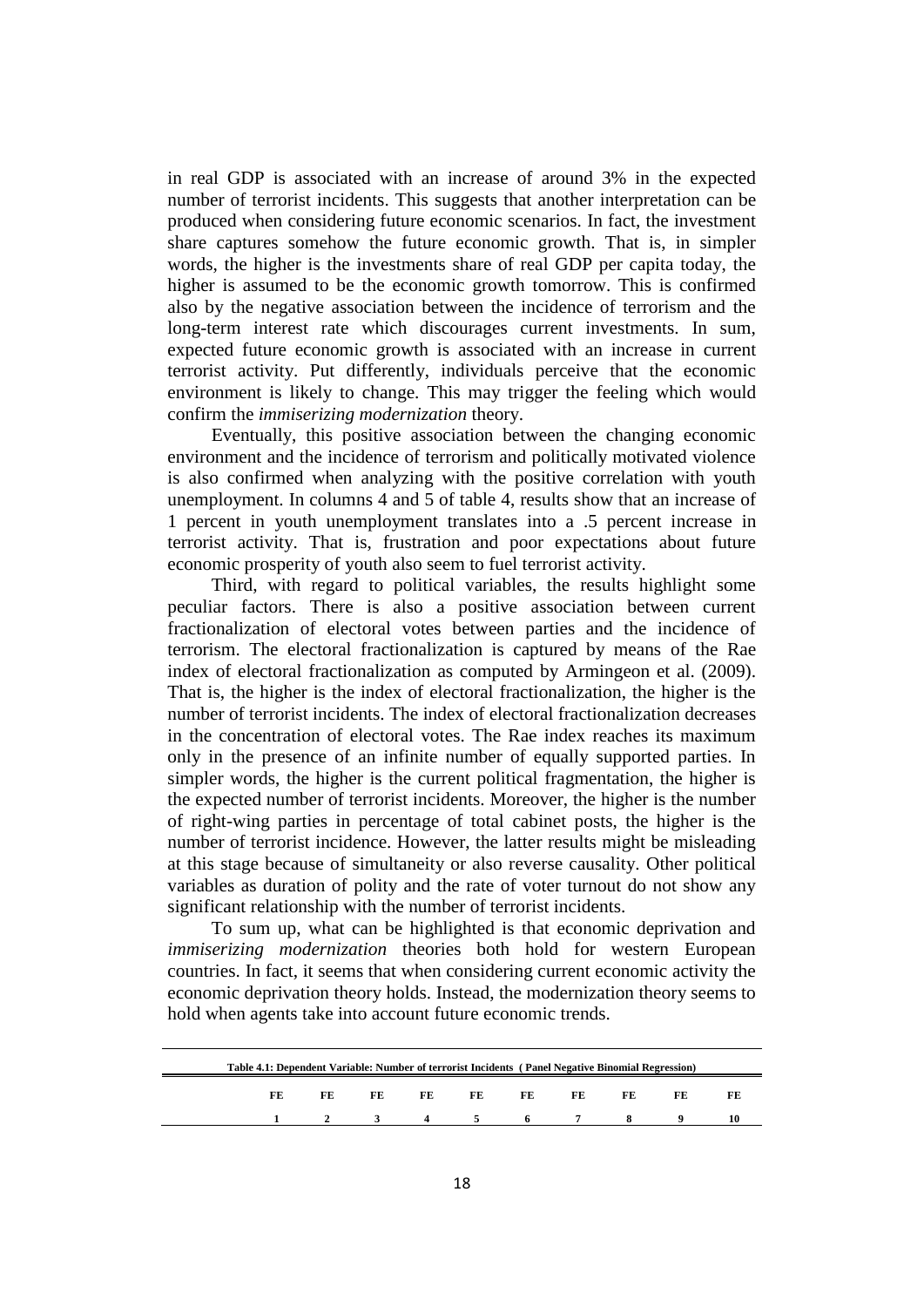in real GDP is associated with an increase of around 3% in the expected number of terrorist incidents. This suggests that another interpretation can be produced when considering future economic scenarios. In fact, the investment share captures somehow the future economic growth. That is, in simpler words, the higher is the investments share of real GDP per capita today, the higher is assumed to be the economic growth tomorrow. This is confirmed also by the negative association between the incidence of terrorism and the long-term interest rate which discourages current investments. In sum, expected future economic growth is associated with an increase in current terrorist activity. Put differently, individuals perceive that the economic environment is likely to change. This may trigger the feeling which would confirm the *immiserizing modernization* theory.

Eventually, this positive association between the changing economic environment and the incidence of terrorism and politically motivated violence is also confirmed when analyzing with the positive correlation with youth unemployment. In columns 4 and 5 of table 4, results show that an increase of 1 percent in youth unemployment translates into a .5 percent increase in terrorist activity. That is, frustration and poor expectations about future economic prosperity of youth also seem to fuel terrorist activity.

Third, with regard to political variables, the results highlight some peculiar factors. There is also a positive association between current fractionalization of electoral votes between parties and the incidence of terrorism. The electoral fractionalization is captured by means of the Rae index of electoral fractionalization as computed by Armingeon et al. (2009). That is, the higher is the index of electoral fractionalization, the higher is the number of terrorist incidents. The index of electoral fractionalization decreases in the concentration of electoral votes. The Rae index reaches its maximum only in the presence of an infinite number of equally supported parties. In simpler words, the higher is the current political fragmentation, the higher is the expected number of terrorist incidents. Moreover, the higher is the number of right-wing parties in percentage of total cabinet posts, the higher is the number of terrorist incidence. However, the latter results might be misleading at this stage because of simultaneity or also reverse causality. Other political variables as duration of polity and the rate of voter turnout do not show any significant relationship with the number of terrorist incidents.

To sum up, what can be highlighted is that economic deprivation and *immiserizing modernization* theories both hold for western European countries. In fact, it seems that when considering current economic activity the economic deprivation theory holds. Instead, the modernization theory seems to hold when agents take into account future economic trends.

| Table 4.1: Dependent Variable: Number of terrorist Incidents (Panel Negative Binomial Regression) |     |    |    |     |    |             |     |  |  |  |  |  |
|---------------------------------------------------------------------------------------------------|-----|----|----|-----|----|-------------|-----|--|--|--|--|--|
|                                                                                                   | FE. | FE | FE | FE. | FE | FE          | FE. |  |  |  |  |  |
|                                                                                                   |     |    |    |     |    | 2 3 4 5 6 7 |     |  |  |  |  |  |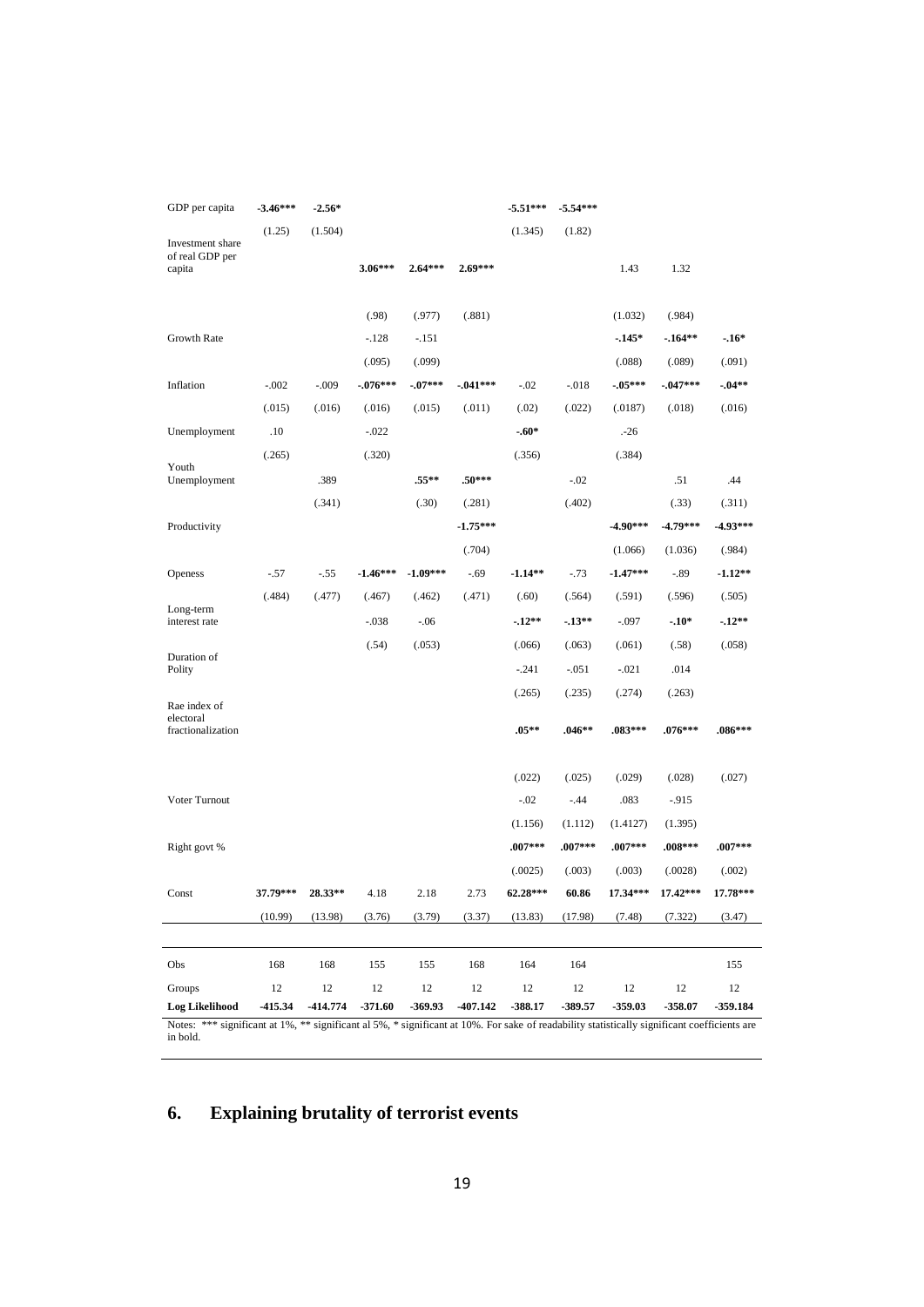| GDP per capita                                                                                                                                           | $-3.46***$ | $-2.56*$ |            |            |            | $-5.51***$ | $-5.54***$ |            |            |            |
|----------------------------------------------------------------------------------------------------------------------------------------------------------|------------|----------|------------|------------|------------|------------|------------|------------|------------|------------|
| Investment share<br>of real GDP per                                                                                                                      | (1.25)     | (1.504)  |            |            |            | (1.345)    | (1.82)     |            |            |            |
| capita                                                                                                                                                   |            |          | $3.06***$  | $2.64***$  | $2.69***$  |            |            | 1.43       | 1.32       |            |
|                                                                                                                                                          |            |          | (.98)      | (.977)     | (.881)     |            |            | (1.032)    | (.984)     |            |
| Growth Rate                                                                                                                                              |            |          | $-.128$    | $-.151$    |            |            |            | $-145*$    | $-164**$   | $-16*$     |
|                                                                                                                                                          |            |          | (.095)     | (.099)     |            |            |            | (.088)     | (.089)     | (.091)     |
| Inflation                                                                                                                                                | $-.002$    | $-.009$  | $-.076***$ | $-07***$   | $-.041***$ | $-.02$     | $-.018$    | $-05***$   | $-.047***$ | $-04**$    |
|                                                                                                                                                          | (.015)     | (.016)   | (.016)     | (.015)     | (.011)     | (.02)      | (.022)     | (.0187)    | (.018)     | (.016)     |
| Unemployment                                                                                                                                             | .10        |          | $-.022$    |            |            | $-60*$     |            | $-26$      |            |            |
|                                                                                                                                                          | (.265)     |          | (.320)     |            |            | (.356)     |            | (.384)     |            |            |
| Youth<br>Unemployment                                                                                                                                    |            | .389     |            | $.55***$   | $.50***$   |            | $-.02$     |            | .51        | .44        |
|                                                                                                                                                          |            | (.341)   |            | (.30)      | (.281)     |            | (.402)     |            | (.33)      | (.311)     |
| Productivity                                                                                                                                             |            |          |            |            | $-1.75***$ |            |            | $-4.90***$ | $-4.79***$ | $-4.93***$ |
|                                                                                                                                                          |            |          |            |            | (.704)     |            |            | (1.066)    | (1.036)    | (.984)     |
| Openess                                                                                                                                                  | $-.57$     | $-.55$   | $-1.46***$ | $-1.09***$ | $-.69$     | $-1.14**$  | $-.73$     | $-1.47***$ | $-.89$     | $-1.12**$  |
|                                                                                                                                                          | (.484)     | (.477)   | (.467)     | (.462)     | (.471)     | (.60)      | (.564)     | (.591)     | (.596)     | (.505)     |
| Long-term<br>interest rate                                                                                                                               |            |          | $-.038$    | $-.06$     |            | $-12**$    | $-13**$    | $-.097$    | $-.10*$    | $-12**$    |
|                                                                                                                                                          |            |          | (.54)      | (.053)     |            | (.066)     | (.063)     | (.061)     | (.58)      | (.058)     |
| Duration of<br>Polity                                                                                                                                    |            |          |            |            |            | $-.241$    | $-.051$    | $-.021$    | .014       |            |
|                                                                                                                                                          |            |          |            |            |            | (.265)     | (.235)     | (.274)     | (.263)     |            |
| Rae index of<br>electoral                                                                                                                                |            |          |            |            |            |            |            |            |            |            |
| fractionalization                                                                                                                                        |            |          |            |            |            | $.05***$   | $.046**$   | $.083***$  | $.076***$  | $.086***$  |
|                                                                                                                                                          |            |          |            |            |            | (.022)     | (.025)     | (.029)     | (.028)     | (.027)     |
| Voter Turnout                                                                                                                                            |            |          |            |            |            | $-.02$     | $-.44$     | .083       | $-.915$    |            |
|                                                                                                                                                          |            |          |            |            |            | (1.156)    | (1.112)    | (1.4127)   | (1.395)    |            |
| Right govt %                                                                                                                                             |            |          |            |            |            | $.007***$  | $.007***$  | $.007***$  | $.008***$  | $.007***$  |
|                                                                                                                                                          |            |          |            |            |            | (.0025)    | (.003)     | (.003)     | (.0028)    | (.002)     |
| Const                                                                                                                                                    | 37.79***   | 28.33**  | 4.18       | 2.18       | 2.73       | 62.28***   | 60.86      | $17.34***$ | $17.42***$ | 17.78***   |
|                                                                                                                                                          | (10.99)    | (13.98)  | (3.76)     | (3.79)     | (3.37)     | (13.83)    | (17.98)    | (7.48)     | (7.322)    | (3.47)     |
|                                                                                                                                                          |            |          |            |            |            |            |            |            |            |            |
| Obs                                                                                                                                                      | 168        | 168      | 155        | 155        | 168        | 164        | 164        |            |            | 155        |
| Groups                                                                                                                                                   | 12         | 12       | 12         | 12         | 12         | 12         | 12         | 12         | 12         | 12         |
| <b>Log Likelihood</b>                                                                                                                                    | -415.34    | -414.774 | $-371.60$  | -369.93    | $-407.142$ | $-388.17$  | -389.57    | -359.03    | -358.07    | -359.184   |
| Notes: *** significant at 1%, ** significant al 5%, * significant at 10%. For sake of readability statistically significant coefficients are<br>in bold. |            |          |            |            |            |            |            |            |            |            |

# **6. Explaining brutality of terrorist events**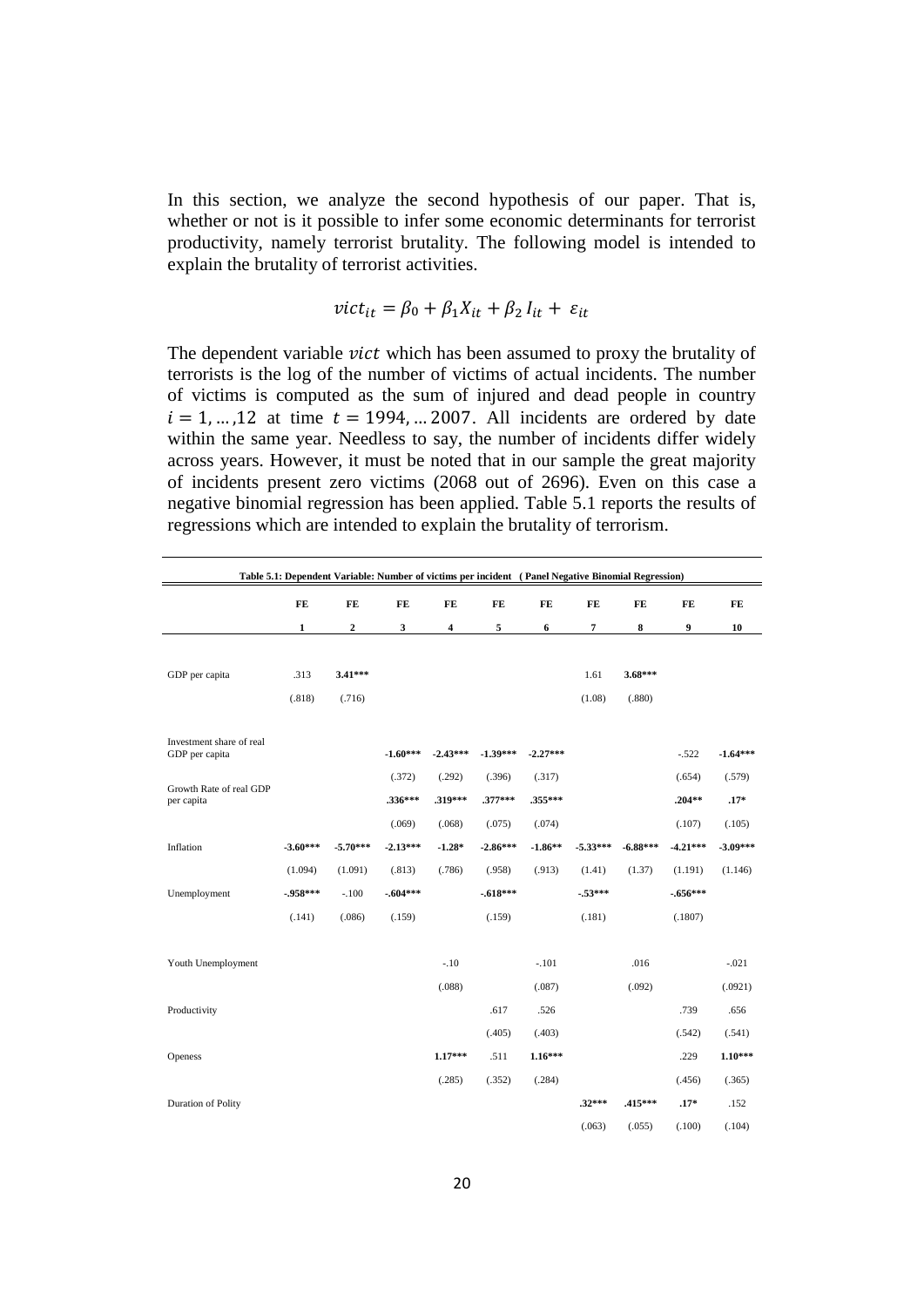In this section, we analyze the second hypothesis of our paper. That is, whether or not is it possible to infer some economic determinants for terrorist productivity, namely terrorist brutality. The following model is intended to explain the brutality of terrorist activities.

$$
vict_{it} = \beta_0 + \beta_1 X_{it} + \beta_2 I_{it} + \varepsilon_{it}
$$

The dependent variable *vict* which has been assumed to proxy the brutality of terrorists is the log of the number of victims of actual incidents. The number of victims is computed as the sum of injured and dead people in country  $i = 1, \dots, 12$  at time  $t = 1994, \dots, 2007$ . All incidents are ordered by date within the same year. Needless to say, the number of incidents differ widely across years. However, it must be noted that in our sample the great majority of incidents present zero victims (2068 out of 2696). Even on this case a negative binomial regression has been applied. Table 5.1 reports the results of regressions which are intended to explain the brutality of terrorism.

|                                            | Table 5.1: Dependent Variable: Number of victims per incident (Panel Negative Binomial Regression) |                  |            |            |            |            |                |            |            |            |  |  |
|--------------------------------------------|----------------------------------------------------------------------------------------------------|------------------|------------|------------|------------|------------|----------------|------------|------------|------------|--|--|
|                                            | FE                                                                                                 | FE               | FE         | FE         | FE         | FE         | FE             | FE         | FE         | FE         |  |  |
|                                            | $\mathbf{1}$                                                                                       | $\boldsymbol{2}$ | 3          | 4          | 5          | 6          | $\overline{7}$ | 8          | 9          | 10         |  |  |
|                                            |                                                                                                    |                  |            |            |            |            |                |            |            |            |  |  |
| GDP per capita                             | .313                                                                                               | $3.41***$        |            |            |            |            | 1.61           | $3.68***$  |            |            |  |  |
|                                            | (.818)                                                                                             | (.716)           |            |            |            |            | (1.08)         | (.880)     |            |            |  |  |
|                                            |                                                                                                    |                  |            |            |            |            |                |            |            |            |  |  |
| Investment share of real<br>GDP per capita |                                                                                                    |                  | $-1.60***$ | $-2.43***$ | $-1.39***$ | $-2.27***$ |                |            | $-.522$    | $-1.64***$ |  |  |
| Growth Rate of real GDP                    |                                                                                                    |                  | (.372)     | (.292)     | (.396)     | (.317)     |                |            | (.654)     | (.579)     |  |  |
| per capita                                 |                                                                                                    |                  | .336***    | .319***    | $.377***$  | .355***    |                |            | $.204**$   | $.17*$     |  |  |
|                                            |                                                                                                    |                  | (.069)     | (.068)     | (.075)     | (.074)     |                |            | (.107)     | (.105)     |  |  |
| Inflation                                  | $-3.60***$                                                                                         | $-5.70***$       | $-2.13***$ | $-1.28*$   | $-2.86***$ | $-1.86**$  | $-5.33***$     | $-6.88***$ | $-4.21***$ | $-3.09***$ |  |  |
|                                            | (1.094)                                                                                            | (1.091)          | (.813)     | (.786)     | (.958)     | (.913)     | (1.41)         | (1.37)     | (1.191)    | (1.146)    |  |  |
| Unemployment                               | $-958***$                                                                                          | $-.100$          | $-.604***$ |            | $-618***$  |            | $.53***$       |            | $.656***$  |            |  |  |
|                                            | (.141)                                                                                             | (.086)           | (.159)     |            | (.159)     |            | (.181)         |            | (.1807)    |            |  |  |
|                                            |                                                                                                    |                  |            |            |            |            |                |            |            |            |  |  |
| Youth Unemployment                         |                                                                                                    |                  |            | $-.10$     |            | $-.101$    |                | .016       |            | $-.021$    |  |  |
|                                            |                                                                                                    |                  |            | (.088)     |            | (.087)     |                | (.092)     |            | (.0921)    |  |  |
| Productivity                               |                                                                                                    |                  |            |            | .617       | .526       |                |            | .739       | .656       |  |  |
|                                            |                                                                                                    |                  |            |            | (.405)     | (.403)     |                |            | (.542)     | (.541)     |  |  |
| Openess                                    |                                                                                                    |                  |            | $1.17***$  | .511       | $1.16***$  |                |            | .229       | $1.10***$  |  |  |
|                                            |                                                                                                    |                  |            | (.285)     | (.352)     | (.284)     |                |            | (.456)     | (.365)     |  |  |
| <b>Duration of Polity</b>                  |                                                                                                    |                  |            |            |            |            | $.32***$       | .415***    | $.17*$     | .152       |  |  |
|                                            |                                                                                                    |                  |            |            |            |            | (.063)         | (.055)     | (.100)     | (.104)     |  |  |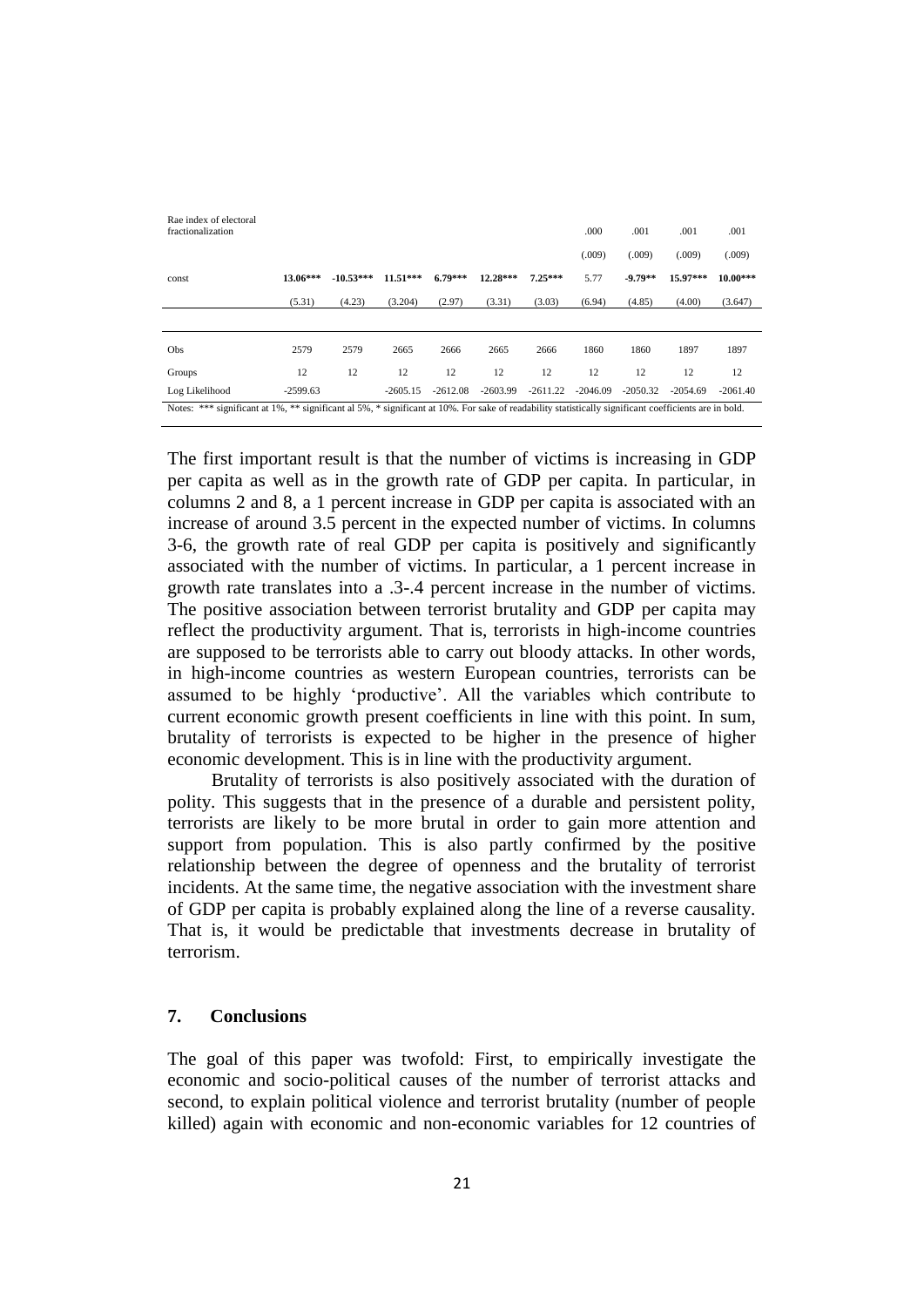| Rae index of electoral<br>fractionalization                                                                                                           |            |             |            |            |            |            | .000       | .001       | .001       | .001       |
|-------------------------------------------------------------------------------------------------------------------------------------------------------|------------|-------------|------------|------------|------------|------------|------------|------------|------------|------------|
|                                                                                                                                                       |            |             |            |            |            |            | (.009)     | (.009)     | (.009)     | (.009)     |
| const                                                                                                                                                 | $13.06***$ | $-10.53***$ | $11.51***$ | $6.79***$  | 12.28***   | $7.25***$  | 5.77       | $-9.79**$  | 15.97***   | $10.00***$ |
|                                                                                                                                                       | (5.31)     | (4.23)      | (3.204)    | (2.97)     | (3.31)     | (3.03)     | (6.94)     | (4.85)     | (4.00)     | (3.647)    |
|                                                                                                                                                       |            |             |            |            |            |            |            |            |            |            |
| Obs                                                                                                                                                   | 2579       | 2579        | 2665       | 2666       | 2665       | 2666       | 1860       | 1860       | 1897       | 1897       |
| Groups                                                                                                                                                | 12         | 12          | 12         | 12         | 12         | 12         | 12         | 12         | 12         | 12         |
| Log Likelihood                                                                                                                                        | $-2599.63$ |             | $-2605.15$ | $-2612.08$ | $-2603.99$ | $-2611.22$ | $-2046.09$ | $-2050.32$ | $-2054.69$ | $-2061.40$ |
| Notes: *** significant at 1%, ** significant al 5%, * significant at 10%. For sake of readability statistically significant coefficients are in bold. |            |             |            |            |            |            |            |            |            |            |

The first important result is that the number of victims is increasing in GDP per capita as well as in the growth rate of GDP per capita. In particular, in columns 2 and 8, a 1 percent increase in GDP per capita is associated with an increase of around 3.5 percent in the expected number of victims. In columns 3-6, the growth rate of real GDP per capita is positively and significantly associated with the number of victims. In particular, a 1 percent increase in growth rate translates into a .3-.4 percent increase in the number of victims. The positive association between terrorist brutality and GDP per capita may reflect the productivity argument. That is, terrorists in high-income countries are supposed to be terrorists able to carry out bloody attacks. In other words, in high-income countries as western European countries, terrorists can be assumed to be highly "productive". All the variables which contribute to current economic growth present coefficients in line with this point. In sum, brutality of terrorists is expected to be higher in the presence of higher economic development. This is in line with the productivity argument.

Brutality of terrorists is also positively associated with the duration of polity. This suggests that in the presence of a durable and persistent polity, terrorists are likely to be more brutal in order to gain more attention and support from population. This is also partly confirmed by the positive relationship between the degree of openness and the brutality of terrorist incidents. At the same time, the negative association with the investment share of GDP per capita is probably explained along the line of a reverse causality. That is, it would be predictable that investments decrease in brutality of terrorism.

# **7. Conclusions**

The goal of this paper was twofold: First, to empirically investigate the economic and socio-political causes of the number of terrorist attacks and second, to explain political violence and terrorist brutality (number of people killed) again with economic and non-economic variables for 12 countries of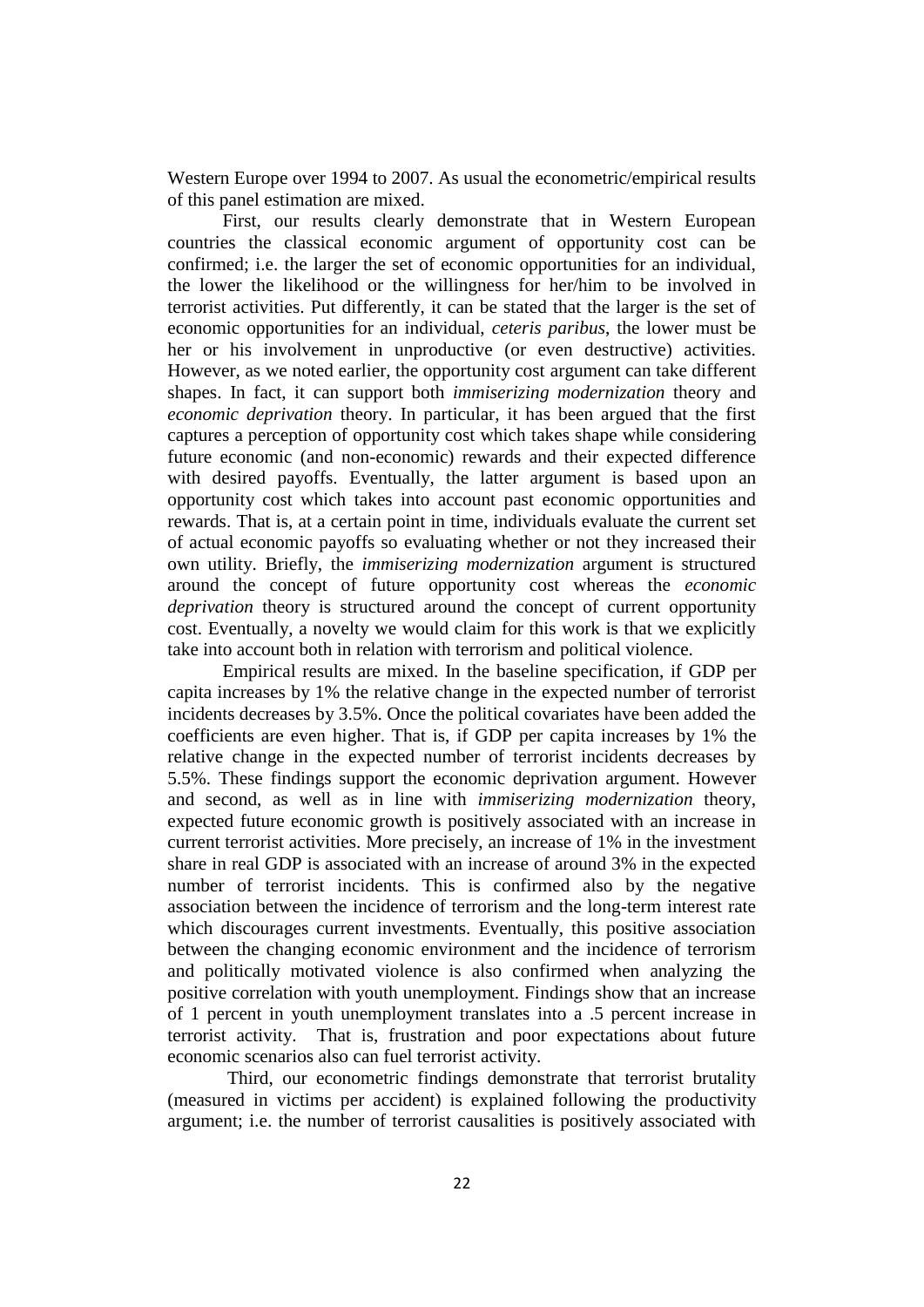Western Europe over 1994 to 2007. As usual the econometric/empirical results of this panel estimation are mixed.

First, our results clearly demonstrate that in Western European countries the classical economic argument of opportunity cost can be confirmed; i.e. the larger the set of economic opportunities for an individual, the lower the likelihood or the willingness for her/him to be involved in terrorist activities. Put differently, it can be stated that the larger is the set of economic opportunities for an individual, *ceteris paribus*, the lower must be her or his involvement in unproductive (or even destructive) activities. However, as we noted earlier, the opportunity cost argument can take different shapes. In fact, it can support both *immiserizing modernization* theory and *economic deprivation* theory. In particular, it has been argued that the first captures a perception of opportunity cost which takes shape while considering future economic (and non-economic) rewards and their expected difference with desired payoffs. Eventually, the latter argument is based upon an opportunity cost which takes into account past economic opportunities and rewards. That is, at a certain point in time, individuals evaluate the current set of actual economic payoffs so evaluating whether or not they increased their own utility. Briefly, the *immiserizing modernization* argument is structured around the concept of future opportunity cost whereas the *economic deprivation* theory is structured around the concept of current opportunity cost. Eventually, a novelty we would claim for this work is that we explicitly take into account both in relation with terrorism and political violence.

Empirical results are mixed. In the baseline specification, if GDP per capita increases by 1% the relative change in the expected number of terrorist incidents decreases by 3.5%. Once the political covariates have been added the coefficients are even higher. That is, if GDP per capita increases by 1% the relative change in the expected number of terrorist incidents decreases by 5.5%. These findings support the economic deprivation argument. However and second, as well as in line with *immiserizing modernization* theory, expected future economic growth is positively associated with an increase in current terrorist activities. More precisely, an increase of 1% in the investment share in real GDP is associated with an increase of around 3% in the expected number of terrorist incidents. This is confirmed also by the negative association between the incidence of terrorism and the long-term interest rate which discourages current investments. Eventually, this positive association between the changing economic environment and the incidence of terrorism and politically motivated violence is also confirmed when analyzing the positive correlation with youth unemployment. Findings show that an increase of 1 percent in youth unemployment translates into a .5 percent increase in terrorist activity. That is, frustration and poor expectations about future economic scenarios also can fuel terrorist activity.

Third, our econometric findings demonstrate that terrorist brutality (measured in victims per accident) is explained following the productivity argument; i.e. the number of terrorist causalities is positively associated with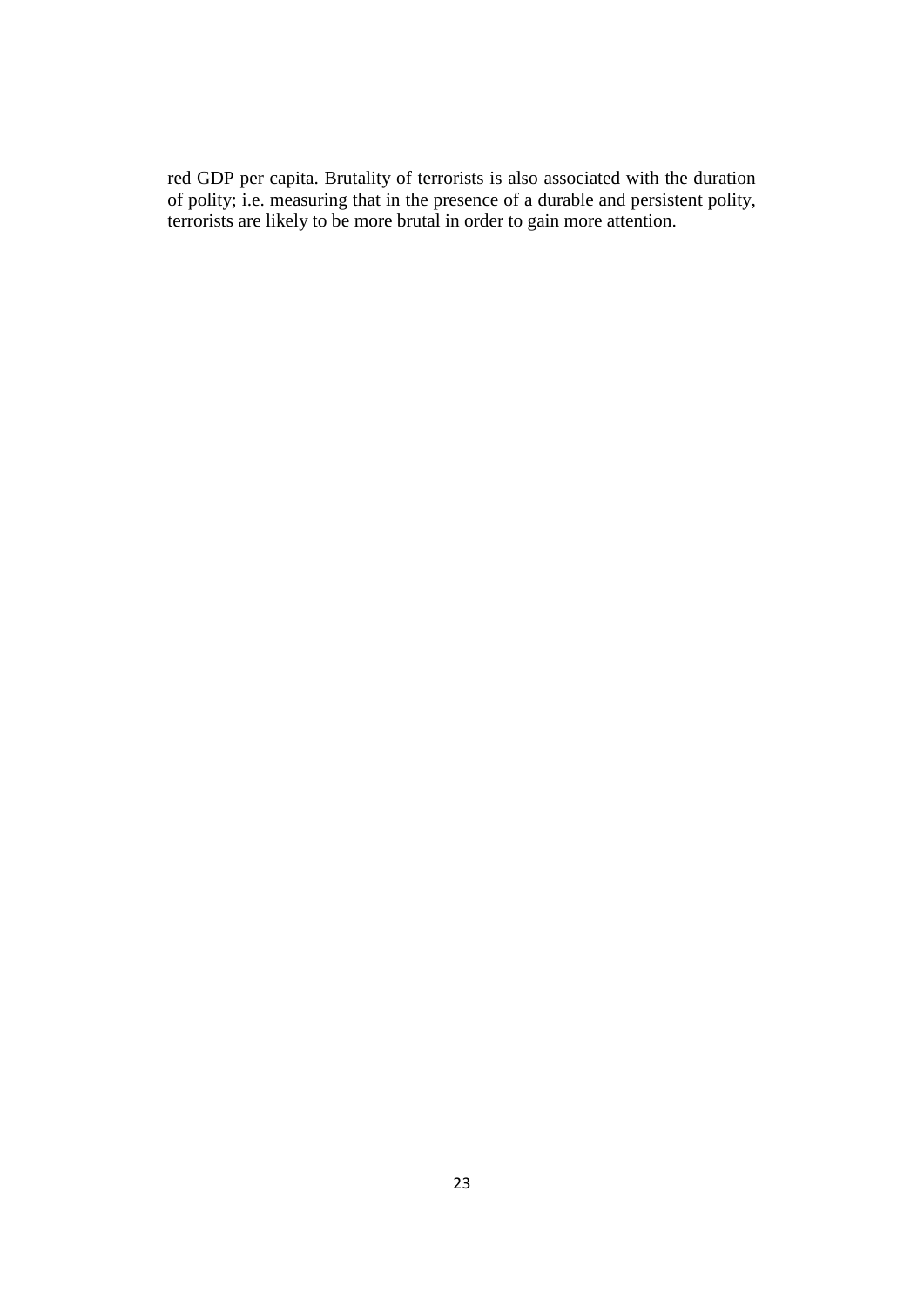red GDP per capita. Brutality of terrorists is also associated with the duration of polity; i.e. measuring that in the presence of a durable and persistent polity, terrorists are likely to be more brutal in order to gain more attention.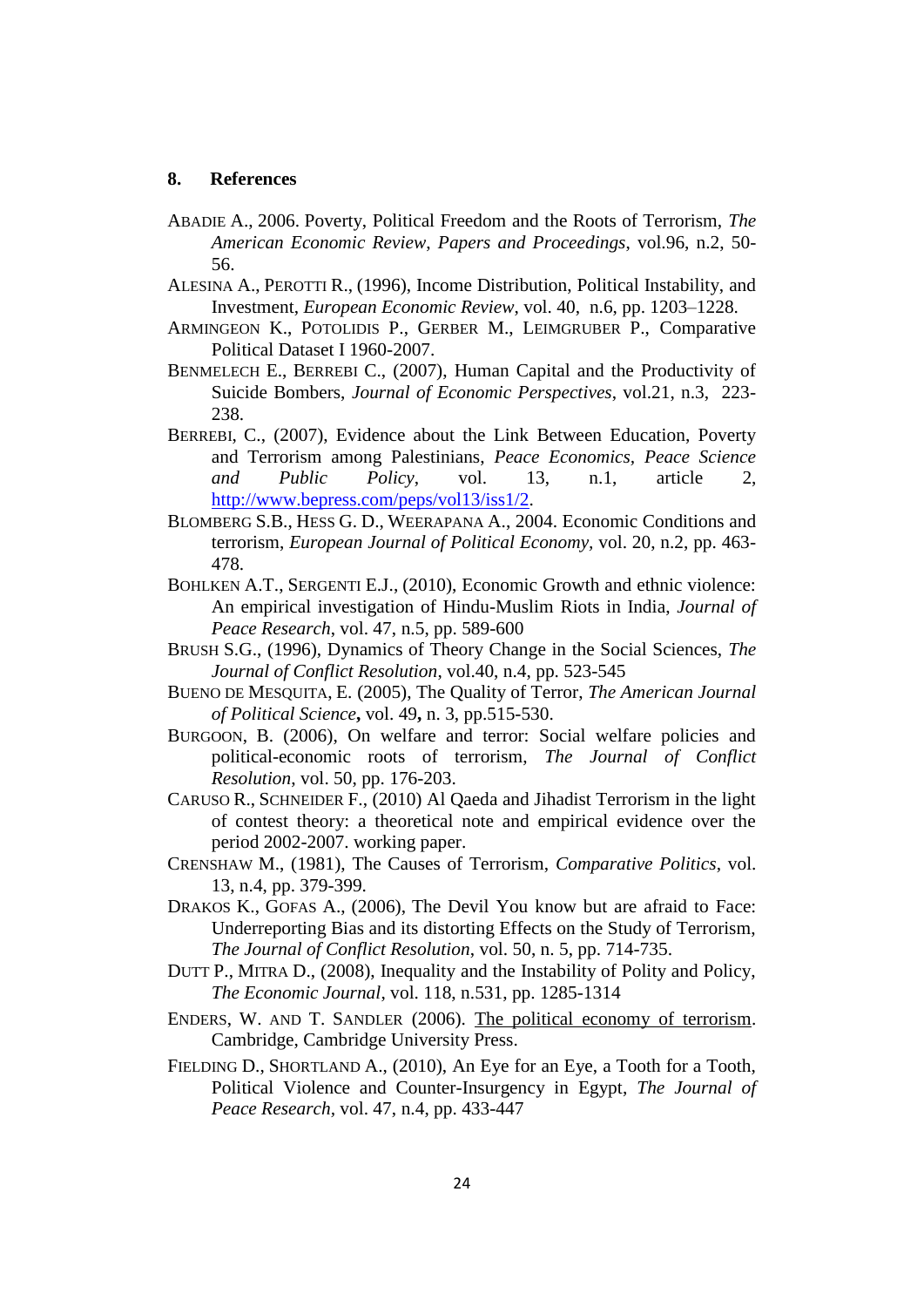## **8. References**

- ABADIE A., 2006. Poverty, Political Freedom and the Roots of Terrorism, *The American Economic Review*, *Papers and Proceedings*, vol.96, n.2, 50- 56.
- ALESINA A., PEROTTI R., (1996), Income Distribution, Political Instability, and Investment, *European Economic Review*, vol. 40, n.6, pp. 1203–1228.
- ARMINGEON K., POTOLIDIS P., GERBER M., LEIMGRUBER P., Comparative Political Dataset I 1960-2007.
- BENMELECH E., BERREBI C., (2007), Human Capital and the Productivity of Suicide Bombers, *Journal of Economic Perspectives*, vol.21, n.3, 223- 238.
- BERREBI, C., (2007), Evidence about the Link Between Education, Poverty and Terrorism among Palestinians, *Peace Economics, Peace Science and Public Policy*, vol. 13, n.1, article 2, [http://www.bepress.com/peps/vol13/iss1/2.](http://www.bepress.com/peps/vol13/iss1/2)
- BLOMBERG S.B., HESS G. D., WEERAPANA A., 2004. Economic Conditions and terrorism, *European Journal of Political Economy,* vol. 20, n.2, pp. 463- 478.
- BOHLKEN A.T., SERGENTI E.J., (2010), Economic Growth and ethnic violence: An empirical investigation of Hindu-Muslim Riots in India, *Journal of Peace Research*, vol. 47, n.5, pp. 589-600
- BRUSH S.G., (1996), Dynamics of Theory Change in the Social Sciences, *The Journal of Conflict Resolution*, vol.40, n.4, pp. 523-545
- BUENO DE MESQUITA, E. (2005), The Quality of Terror, *The American Journal of Political Science***,** vol. 49**,** n. 3, pp.515-530.
- BURGOON, B. (2006), On welfare and terror: Social welfare policies and political-economic roots of terrorism, *The Journal of Conflict Resolution*, vol. 50, pp. 176-203.
- CARUSO R., SCHNEIDER F., (2010) Al Qaeda and Jihadist Terrorism in the light of contest theory: a theoretical note and empirical evidence over the period 2002-2007. working paper.
- CRENSHAW M., (1981), The Causes of Terrorism, *Comparative Politics*, vol. 13, n.4, pp. 379-399.
- DRAKOS K., GOFAS A., (2006), The Devil You know but are afraid to Face: Underreporting Bias and its distorting Effects on the Study of Terrorism, *The Journal of Conflict Resolution*, vol. 50, n. 5, pp. 714-735.
- DUTT P., MITRA D., (2008), Inequality and the Instability of Polity and Policy, *The Economic Journal*, vol. 118, n.531, pp. 1285-1314
- ENDERS, W. AND T. SANDLER (2006). The political economy of terrorism. Cambridge, Cambridge University Press.
- FIELDING D., SHORTLAND A., (2010), An Eye for an Eye, a Tooth for a Tooth, Political Violence and Counter-Insurgency in Egypt, *The Journal of Peace Research,* vol. 47, n.4, pp. 433-447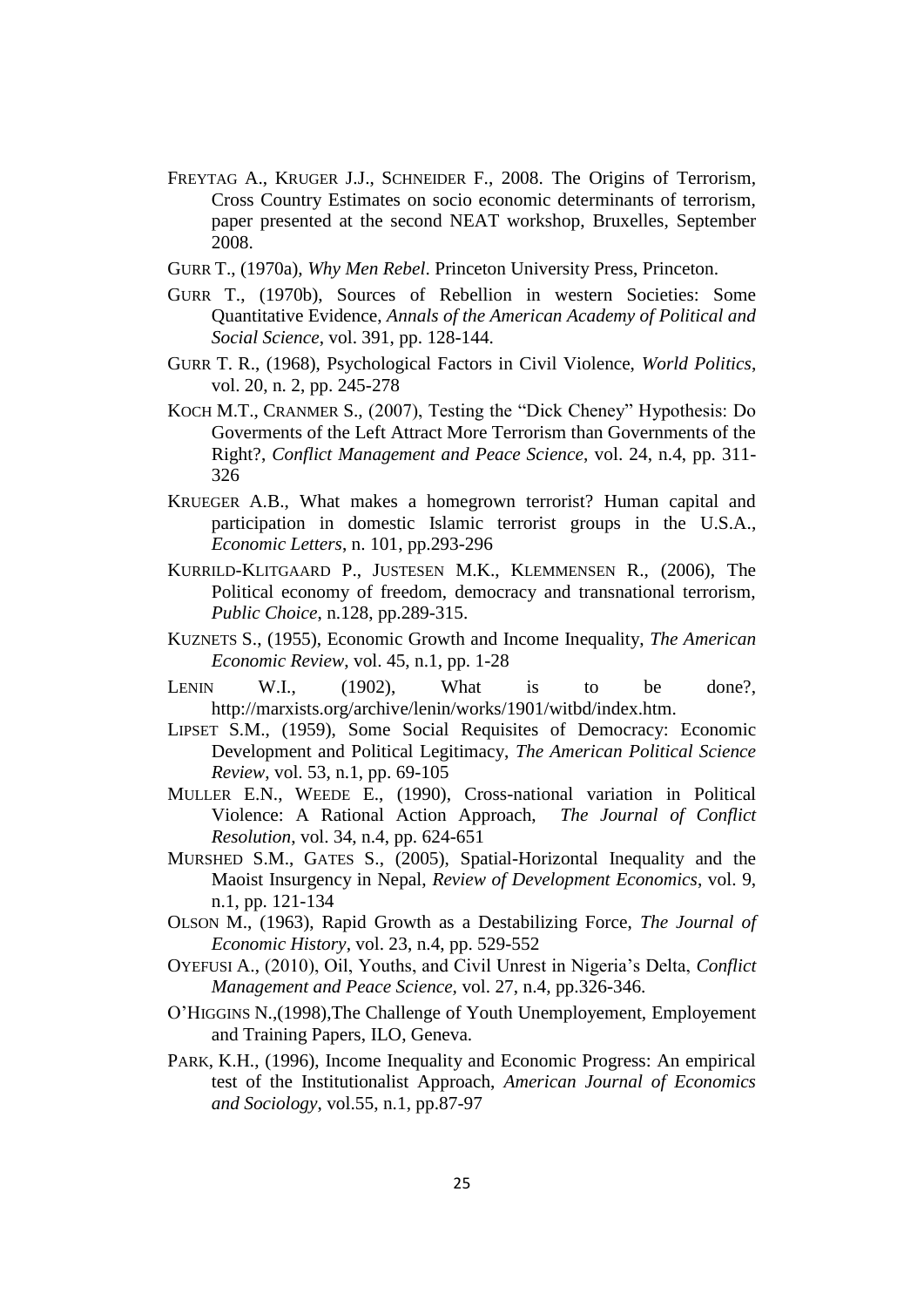- FREYTAG A., KRUGER J.J., SCHNEIDER F., 2008. The Origins of Terrorism, Cross Country Estimates on socio economic determinants of terrorism, paper presented at the second NEAT workshop, Bruxelles, September 2008.
- GURR T., (1970a), *Why Men Rebel*. Princeton University Press, Princeton.
- GURR T., (1970b), Sources of Rebellion in western Societies: Some Quantitative Evidence, *Annals of the American Academy of Political and Social Science*, vol. 391, pp. 128-144.
- GURR T. R., (1968), Psychological Factors in Civil Violence, *World Politics*, vol. 20, n. 2, pp. 245-278
- KOCH M.T., CRANMER S., (2007), Testing the "Dick Cheney" Hypothesis: Do Goverments of the Left Attract More Terrorism than Governments of the Right?, *Conflict Management and Peace Science*, vol. 24, n.4, pp. 311- 326
- KRUEGER A.B., What makes a homegrown terrorist? Human capital and participation in domestic Islamic terrorist groups in the U.S.A., *Economic Letters*, n. 101, pp.293-296
- KURRILD-KLITGAARD P., JUSTESEN M.K., KLEMMENSEN R., (2006), The Political economy of freedom, democracy and transnational terrorism, *Public Choice*, n.128, pp.289-315.
- KUZNETS S., (1955), Economic Growth and Income Inequality, *The American Economic Review*, vol. 45, n.1, pp. 1-28
- LENIN W.I., (1902), What is to be done?, http://marxists.org/archive/lenin/works/1901/witbd/index.htm.
- LIPSET S.M., (1959), Some Social Requisites of Democracy: Economic Development and Political Legitimacy, *The American Political Science Review*, vol. 53, n.1, pp. 69-105
- MULLER E.N., WEEDE E., (1990), Cross-national variation in Political Violence: A Rational Action Approach, *The Journal of Conflict Resolution*, vol. 34, n.4, pp. 624-651
- MURSHED S.M., GATES S., (2005), Spatial-Horizontal Inequality and the Maoist Insurgency in Nepal, *Review of Development Economics*, vol. 9, n.1, pp. 121-134
- OLSON M., (1963), Rapid Growth as a Destabilizing Force, *The Journal of Economic History*, vol. 23, n.4, pp. 529-552
- OYEFUSI A., (2010), Oil, Youths, and Civil Unrest in Nigeria"s Delta, *Conflict Management and Peace Science,* vol. 27, n.4, pp.326-346.
- O"HIGGINS N.,(1998),The Challenge of Youth Unemployement, Employement and Training Papers, ILO, Geneva.
- PARK, K.H., (1996), Income Inequality and Economic Progress: An empirical test of the Institutionalist Approach, *American Journal of Economics and Sociology*, vol.55, n.1, pp.87-97